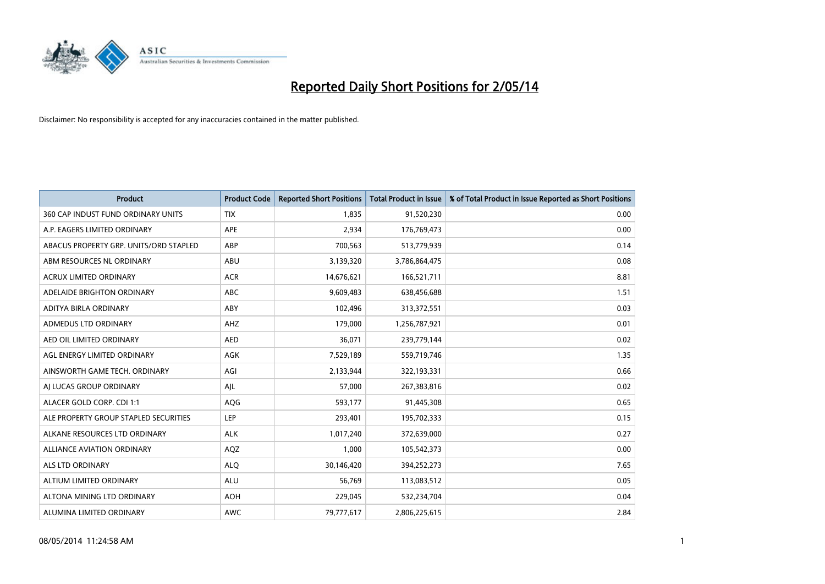

| <b>Product</b>                         | <b>Product Code</b> | <b>Reported Short Positions</b> | <b>Total Product in Issue</b> | % of Total Product in Issue Reported as Short Positions |
|----------------------------------------|---------------------|---------------------------------|-------------------------------|---------------------------------------------------------|
| 360 CAP INDUST FUND ORDINARY UNITS     | <b>TIX</b>          | 1,835                           | 91,520,230                    | 0.00                                                    |
| A.P. EAGERS LIMITED ORDINARY           | APE                 | 2,934                           | 176,769,473                   | 0.00                                                    |
| ABACUS PROPERTY GRP. UNITS/ORD STAPLED | ABP                 | 700,563                         | 513,779,939                   | 0.14                                                    |
| ABM RESOURCES NL ORDINARY              | ABU                 | 3,139,320                       | 3,786,864,475                 | 0.08                                                    |
| <b>ACRUX LIMITED ORDINARY</b>          | <b>ACR</b>          | 14,676,621                      | 166,521,711                   | 8.81                                                    |
| ADELAIDE BRIGHTON ORDINARY             | <b>ABC</b>          | 9,609,483                       | 638,456,688                   | 1.51                                                    |
| ADITYA BIRLA ORDINARY                  | ABY                 | 102,496                         | 313,372,551                   | 0.03                                                    |
| ADMEDUS LTD ORDINARY                   | AHZ                 | 179,000                         | 1,256,787,921                 | 0.01                                                    |
| AED OIL LIMITED ORDINARY               | <b>AED</b>          | 36,071                          | 239,779,144                   | 0.02                                                    |
| AGL ENERGY LIMITED ORDINARY            | <b>AGK</b>          | 7,529,189                       | 559,719,746                   | 1.35                                                    |
| AINSWORTH GAME TECH. ORDINARY          | AGI                 | 2,133,944                       | 322,193,331                   | 0.66                                                    |
| AI LUCAS GROUP ORDINARY                | AJL                 | 57,000                          | 267,383,816                   | 0.02                                                    |
| ALACER GOLD CORP. CDI 1:1              | AQG                 | 593,177                         | 91,445,308                    | 0.65                                                    |
| ALE PROPERTY GROUP STAPLED SECURITIES  | LEP                 | 293,401                         | 195,702,333                   | 0.15                                                    |
| ALKANE RESOURCES LTD ORDINARY          | <b>ALK</b>          | 1,017,240                       | 372,639,000                   | 0.27                                                    |
| ALLIANCE AVIATION ORDINARY             | AQZ                 | 1,000                           | 105,542,373                   | 0.00                                                    |
| ALS LTD ORDINARY                       | <b>ALQ</b>          | 30,146,420                      | 394,252,273                   | 7.65                                                    |
| ALTIUM LIMITED ORDINARY                | ALU                 | 56,769                          | 113,083,512                   | 0.05                                                    |
| ALTONA MINING LTD ORDINARY             | <b>AOH</b>          | 229,045                         | 532,234,704                   | 0.04                                                    |
| ALUMINA LIMITED ORDINARY               | <b>AWC</b>          | 79,777,617                      | 2,806,225,615                 | 2.84                                                    |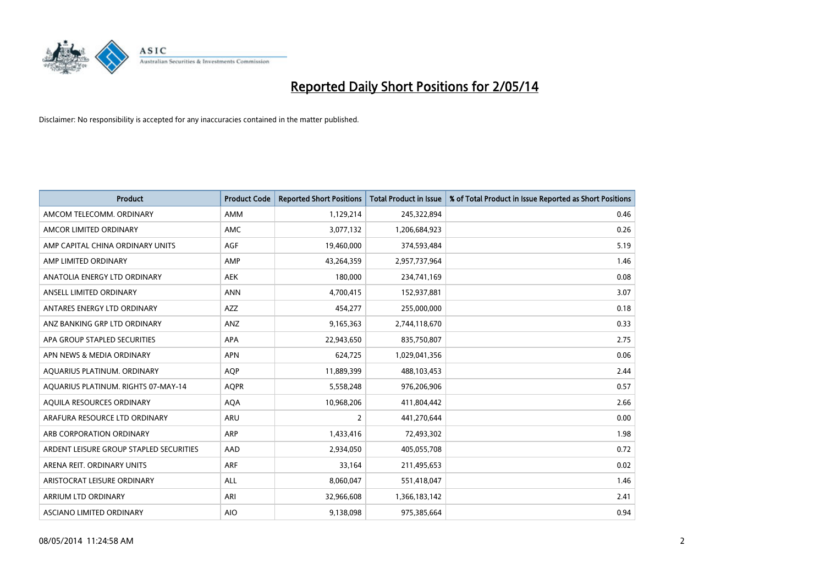

| <b>Product</b>                          | <b>Product Code</b> | <b>Reported Short Positions</b> | <b>Total Product in Issue</b> | % of Total Product in Issue Reported as Short Positions |
|-----------------------------------------|---------------------|---------------------------------|-------------------------------|---------------------------------------------------------|
| AMCOM TELECOMM, ORDINARY                | AMM                 | 1,129,214                       | 245,322,894                   | 0.46                                                    |
| AMCOR LIMITED ORDINARY                  | AMC                 | 3,077,132                       | 1,206,684,923                 | 0.26                                                    |
| AMP CAPITAL CHINA ORDINARY UNITS        | AGF                 | 19,460,000                      | 374,593,484                   | 5.19                                                    |
| AMP LIMITED ORDINARY                    | AMP                 | 43,264,359                      | 2,957,737,964                 | 1.46                                                    |
| ANATOLIA ENERGY LTD ORDINARY            | <b>AEK</b>          | 180,000                         | 234,741,169                   | 0.08                                                    |
| ANSELL LIMITED ORDINARY                 | <b>ANN</b>          | 4,700,415                       | 152,937,881                   | 3.07                                                    |
| ANTARES ENERGY LTD ORDINARY             | <b>AZZ</b>          | 454,277                         | 255,000,000                   | 0.18                                                    |
| ANZ BANKING GRP LTD ORDINARY            | ANZ                 | 9,165,363                       | 2,744,118,670                 | 0.33                                                    |
| APA GROUP STAPLED SECURITIES            | APA                 | 22,943,650                      | 835,750,807                   | 2.75                                                    |
| APN NEWS & MEDIA ORDINARY               | <b>APN</b>          | 624,725                         | 1,029,041,356                 | 0.06                                                    |
| AQUARIUS PLATINUM. ORDINARY             | AQP                 | 11,889,399                      | 488,103,453                   | 2.44                                                    |
| AQUARIUS PLATINUM. RIGHTS 07-MAY-14     | <b>AQPR</b>         | 5,558,248                       | 976,206,906                   | 0.57                                                    |
| AQUILA RESOURCES ORDINARY               | <b>AQA</b>          | 10,968,206                      | 411,804,442                   | 2.66                                                    |
| ARAFURA RESOURCE LTD ORDINARY           | <b>ARU</b>          | 2                               | 441,270,644                   | 0.00                                                    |
| ARB CORPORATION ORDINARY                | ARP                 | 1,433,416                       | 72,493,302                    | 1.98                                                    |
| ARDENT LEISURE GROUP STAPLED SECURITIES | AAD                 | 2,934,050                       | 405,055,708                   | 0.72                                                    |
| ARENA REIT. ORDINARY UNITS              | <b>ARF</b>          | 33,164                          | 211,495,653                   | 0.02                                                    |
| ARISTOCRAT LEISURE ORDINARY             | <b>ALL</b>          | 8,060,047                       | 551,418,047                   | 1.46                                                    |
| ARRIUM LTD ORDINARY                     | ARI                 | 32,966,608                      | 1,366,183,142                 | 2.41                                                    |
| ASCIANO LIMITED ORDINARY                | <b>AIO</b>          | 9,138,098                       | 975,385,664                   | 0.94                                                    |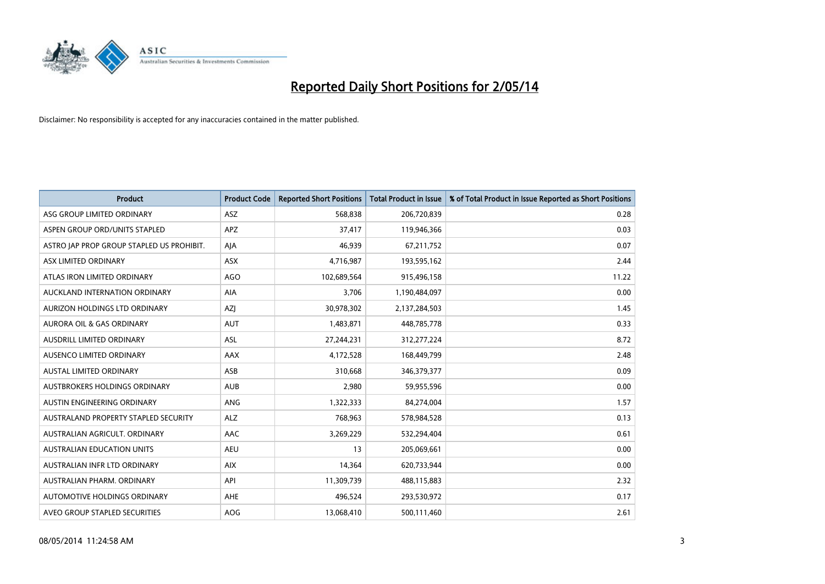

| <b>Product</b>                            | <b>Product Code</b> | <b>Reported Short Positions</b> | <b>Total Product in Issue</b> | % of Total Product in Issue Reported as Short Positions |
|-------------------------------------------|---------------------|---------------------------------|-------------------------------|---------------------------------------------------------|
| ASG GROUP LIMITED ORDINARY                | <b>ASZ</b>          | 568,838                         | 206,720,839                   | 0.28                                                    |
| ASPEN GROUP ORD/UNITS STAPLED             | APZ                 | 37,417                          | 119,946,366                   | 0.03                                                    |
| ASTRO JAP PROP GROUP STAPLED US PROHIBIT. | AJA                 | 46,939                          | 67,211,752                    | 0.07                                                    |
| ASX LIMITED ORDINARY                      | ASX                 | 4,716,987                       | 193,595,162                   | 2.44                                                    |
| ATLAS IRON LIMITED ORDINARY               | <b>AGO</b>          | 102,689,564                     | 915,496,158                   | 11.22                                                   |
| AUCKLAND INTERNATION ORDINARY             | <b>AIA</b>          | 3,706                           | 1,190,484,097                 | 0.00                                                    |
| AURIZON HOLDINGS LTD ORDINARY             | AZJ                 | 30,978,302                      | 2,137,284,503                 | 1.45                                                    |
| AURORA OIL & GAS ORDINARY                 | <b>AUT</b>          | 1,483,871                       | 448,785,778                   | 0.33                                                    |
| AUSDRILL LIMITED ORDINARY                 | <b>ASL</b>          | 27,244,231                      | 312,277,224                   | 8.72                                                    |
| AUSENCO LIMITED ORDINARY                  | AAX                 | 4,172,528                       | 168,449,799                   | 2.48                                                    |
| AUSTAL LIMITED ORDINARY                   | ASB                 | 310,668                         | 346, 379, 377                 | 0.09                                                    |
| AUSTBROKERS HOLDINGS ORDINARY             | <b>AUB</b>          | 2,980                           | 59,955,596                    | 0.00                                                    |
| AUSTIN ENGINEERING ORDINARY               | ANG                 | 1,322,333                       | 84,274,004                    | 1.57                                                    |
| AUSTRALAND PROPERTY STAPLED SECURITY      | <b>ALZ</b>          | 768,963                         | 578,984,528                   | 0.13                                                    |
| AUSTRALIAN AGRICULT, ORDINARY             | <b>AAC</b>          | 3,269,229                       | 532,294,404                   | 0.61                                                    |
| <b>AUSTRALIAN EDUCATION UNITS</b>         | <b>AEU</b>          | 13                              | 205,069,661                   | 0.00                                                    |
| AUSTRALIAN INFR LTD ORDINARY              | <b>AIX</b>          | 14,364                          | 620,733,944                   | 0.00                                                    |
| AUSTRALIAN PHARM. ORDINARY                | API                 | 11,309,739                      | 488,115,883                   | 2.32                                                    |
| AUTOMOTIVE HOLDINGS ORDINARY              | AHE                 | 496,524                         | 293,530,972                   | 0.17                                                    |
| AVEO GROUP STAPLED SECURITIES             | AOG                 | 13,068,410                      | 500,111,460                   | 2.61                                                    |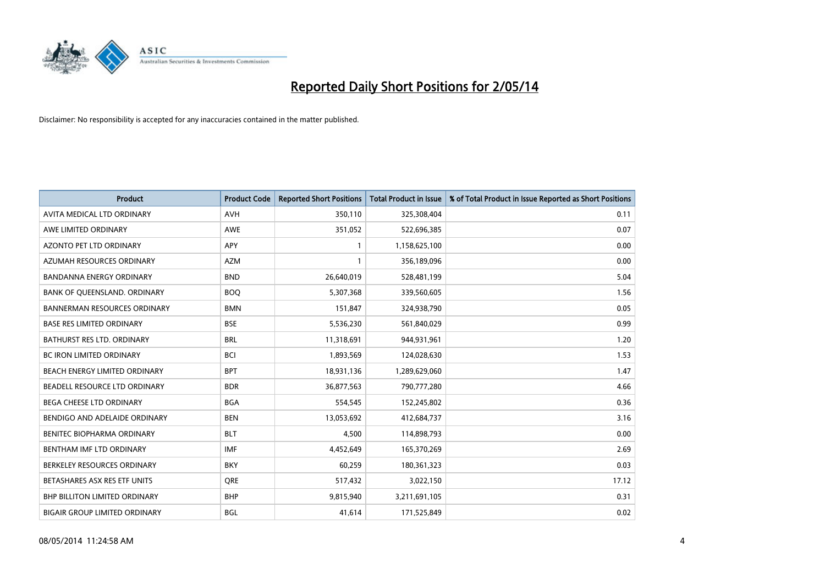

| <b>Product</b>                       | <b>Product Code</b> | <b>Reported Short Positions</b> | <b>Total Product in Issue</b> | % of Total Product in Issue Reported as Short Positions |
|--------------------------------------|---------------------|---------------------------------|-------------------------------|---------------------------------------------------------|
| AVITA MEDICAL LTD ORDINARY           | <b>AVH</b>          | 350,110                         | 325,308,404                   | 0.11                                                    |
| AWE LIMITED ORDINARY                 | AWE                 | 351,052                         | 522,696,385                   | 0.07                                                    |
| <b>AZONTO PET LTD ORDINARY</b>       | <b>APY</b>          | 1                               | 1,158,625,100                 | 0.00                                                    |
| AZUMAH RESOURCES ORDINARY            | <b>AZM</b>          | $\mathbf{1}$                    | 356,189,096                   | 0.00                                                    |
| <b>BANDANNA ENERGY ORDINARY</b>      | <b>BND</b>          | 26,640,019                      | 528,481,199                   | 5.04                                                    |
| BANK OF QUEENSLAND. ORDINARY         | <b>BOQ</b>          | 5,307,368                       | 339,560,605                   | 1.56                                                    |
| <b>BANNERMAN RESOURCES ORDINARY</b>  | <b>BMN</b>          | 151,847                         | 324,938,790                   | 0.05                                                    |
| <b>BASE RES LIMITED ORDINARY</b>     | <b>BSE</b>          | 5,536,230                       | 561,840,029                   | 0.99                                                    |
| <b>BATHURST RES LTD. ORDINARY</b>    | <b>BRL</b>          | 11,318,691                      | 944,931,961                   | 1.20                                                    |
| <b>BC IRON LIMITED ORDINARY</b>      | <b>BCI</b>          | 1,893,569                       | 124,028,630                   | 1.53                                                    |
| BEACH ENERGY LIMITED ORDINARY        | <b>BPT</b>          | 18,931,136                      | 1,289,629,060                 | 1.47                                                    |
| BEADELL RESOURCE LTD ORDINARY        | <b>BDR</b>          | 36,877,563                      | 790,777,280                   | 4.66                                                    |
| <b>BEGA CHEESE LTD ORDINARY</b>      | <b>BGA</b>          | 554,545                         | 152,245,802                   | 0.36                                                    |
| BENDIGO AND ADELAIDE ORDINARY        | <b>BEN</b>          | 13,053,692                      | 412,684,737                   | 3.16                                                    |
| BENITEC BIOPHARMA ORDINARY           | <b>BLT</b>          | 4,500                           | 114,898,793                   | 0.00                                                    |
| BENTHAM IMF LTD ORDINARY             | <b>IMF</b>          | 4,452,649                       | 165,370,269                   | 2.69                                                    |
| BERKELEY RESOURCES ORDINARY          | <b>BKY</b>          | 60,259                          | 180,361,323                   | 0.03                                                    |
| BETASHARES ASX RES ETF UNITS         | <b>ORE</b>          | 517,432                         | 3,022,150                     | 17.12                                                   |
| <b>BHP BILLITON LIMITED ORDINARY</b> | <b>BHP</b>          | 9,815,940                       | 3,211,691,105                 | 0.31                                                    |
| <b>BIGAIR GROUP LIMITED ORDINARY</b> | <b>BGL</b>          | 41,614                          | 171,525,849                   | 0.02                                                    |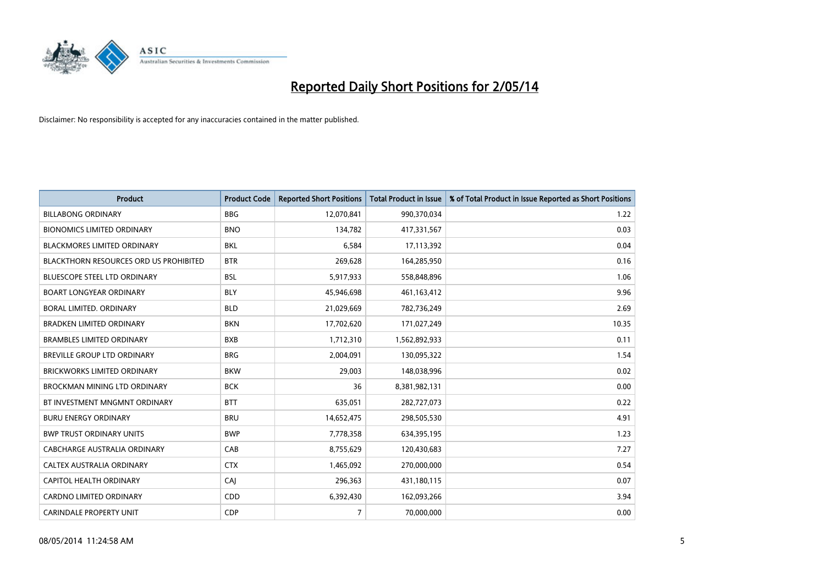

| <b>Product</b>                         | <b>Product Code</b> | <b>Reported Short Positions</b> | <b>Total Product in Issue</b> | % of Total Product in Issue Reported as Short Positions |
|----------------------------------------|---------------------|---------------------------------|-------------------------------|---------------------------------------------------------|
| <b>BILLABONG ORDINARY</b>              | <b>BBG</b>          | 12,070,841                      | 990,370,034                   | 1.22                                                    |
| <b>BIONOMICS LIMITED ORDINARY</b>      | <b>BNO</b>          | 134,782                         | 417,331,567                   | 0.03                                                    |
| BLACKMORES LIMITED ORDINARY            | <b>BKL</b>          | 6,584                           | 17,113,392                    | 0.04                                                    |
| BLACKTHORN RESOURCES ORD US PROHIBITED | <b>BTR</b>          | 269,628                         | 164,285,950                   | 0.16                                                    |
| <b>BLUESCOPE STEEL LTD ORDINARY</b>    | <b>BSL</b>          | 5,917,933                       | 558,848,896                   | 1.06                                                    |
| <b>BOART LONGYEAR ORDINARY</b>         | <b>BLY</b>          | 45,946,698                      | 461,163,412                   | 9.96                                                    |
| <b>BORAL LIMITED, ORDINARY</b>         | <b>BLD</b>          | 21,029,669                      | 782,736,249                   | 2.69                                                    |
| <b>BRADKEN LIMITED ORDINARY</b>        | <b>BKN</b>          | 17,702,620                      | 171,027,249                   | 10.35                                                   |
| <b>BRAMBLES LIMITED ORDINARY</b>       | <b>BXB</b>          | 1,712,310                       | 1,562,892,933                 | 0.11                                                    |
| <b>BREVILLE GROUP LTD ORDINARY</b>     | <b>BRG</b>          | 2,004,091                       | 130,095,322                   | 1.54                                                    |
| <b>BRICKWORKS LIMITED ORDINARY</b>     | <b>BKW</b>          | 29,003                          | 148,038,996                   | 0.02                                                    |
| BROCKMAN MINING LTD ORDINARY           | <b>BCK</b>          | 36                              | 8,381,982,131                 | 0.00                                                    |
| BT INVESTMENT MNGMNT ORDINARY          | <b>BTT</b>          | 635,051                         | 282,727,073                   | 0.22                                                    |
| <b>BURU ENERGY ORDINARY</b>            | <b>BRU</b>          | 14,652,475                      | 298,505,530                   | 4.91                                                    |
| <b>BWP TRUST ORDINARY UNITS</b>        | <b>BWP</b>          | 7,778,358                       | 634,395,195                   | 1.23                                                    |
| CABCHARGE AUSTRALIA ORDINARY           | CAB                 | 8,755,629                       | 120,430,683                   | 7.27                                                    |
| CALTEX AUSTRALIA ORDINARY              | <b>CTX</b>          | 1,465,092                       | 270,000,000                   | 0.54                                                    |
| CAPITOL HEALTH ORDINARY                | CAJ                 | 296,363                         | 431,180,115                   | 0.07                                                    |
| <b>CARDNO LIMITED ORDINARY</b>         | CDD                 | 6,392,430                       | 162,093,266                   | 3.94                                                    |
| <b>CARINDALE PROPERTY UNIT</b>         | <b>CDP</b>          | $\overline{7}$                  | 70,000,000                    | 0.00                                                    |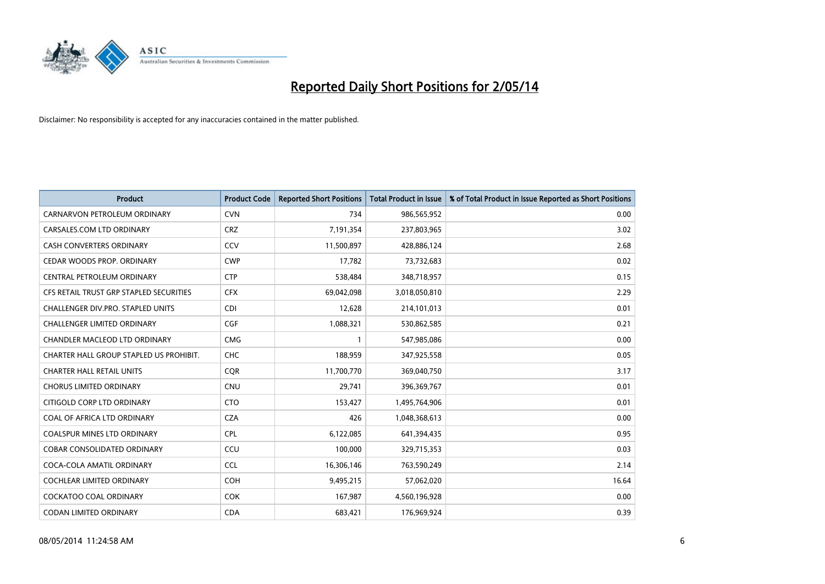

| <b>Product</b>                          | <b>Product Code</b> | <b>Reported Short Positions</b> | <b>Total Product in Issue</b> | % of Total Product in Issue Reported as Short Positions |
|-----------------------------------------|---------------------|---------------------------------|-------------------------------|---------------------------------------------------------|
| CARNARVON PETROLEUM ORDINARY            | <b>CVN</b>          | 734                             | 986,565,952                   | 0.00                                                    |
| CARSALES.COM LTD ORDINARY               | <b>CRZ</b>          | 7,191,354                       | 237,803,965                   | 3.02                                                    |
| CASH CONVERTERS ORDINARY                | CCV                 | 11,500,897                      | 428,886,124                   | 2.68                                                    |
| CEDAR WOODS PROP. ORDINARY              | <b>CWP</b>          | 17.782                          | 73,732,683                    | 0.02                                                    |
| CENTRAL PETROLEUM ORDINARY              | <b>CTP</b>          | 538,484                         | 348,718,957                   | 0.15                                                    |
| CFS RETAIL TRUST GRP STAPLED SECURITIES | <b>CFX</b>          | 69,042,098                      | 3,018,050,810                 | 2.29                                                    |
| CHALLENGER DIV.PRO. STAPLED UNITS       | <b>CDI</b>          | 12,628                          | 214,101,013                   | 0.01                                                    |
| <b>CHALLENGER LIMITED ORDINARY</b>      | <b>CGF</b>          | 1,088,321                       | 530,862,585                   | 0.21                                                    |
| <b>CHANDLER MACLEOD LTD ORDINARY</b>    | <b>CMG</b>          | 1                               | 547,985,086                   | 0.00                                                    |
| CHARTER HALL GROUP STAPLED US PROHIBIT. | <b>CHC</b>          | 188,959                         | 347,925,558                   | 0.05                                                    |
| <b>CHARTER HALL RETAIL UNITS</b>        | <b>CQR</b>          | 11,700,770                      | 369,040,750                   | 3.17                                                    |
| <b>CHORUS LIMITED ORDINARY</b>          | <b>CNU</b>          | 29,741                          | 396,369,767                   | 0.01                                                    |
| CITIGOLD CORP LTD ORDINARY              | <b>CTO</b>          | 153,427                         | 1,495,764,906                 | 0.01                                                    |
| COAL OF AFRICA LTD ORDINARY             | <b>CZA</b>          | 426                             | 1,048,368,613                 | 0.00                                                    |
| <b>COALSPUR MINES LTD ORDINARY</b>      | <b>CPL</b>          | 6,122,085                       | 641,394,435                   | 0.95                                                    |
| <b>COBAR CONSOLIDATED ORDINARY</b>      | CCU                 | 100,000                         | 329,715,353                   | 0.03                                                    |
| COCA-COLA AMATIL ORDINARY               | <b>CCL</b>          | 16,306,146                      | 763,590,249                   | 2.14                                                    |
| <b>COCHLEAR LIMITED ORDINARY</b>        | <b>COH</b>          | 9,495,215                       | 57,062,020                    | 16.64                                                   |
| <b>COCKATOO COAL ORDINARY</b>           | <b>COK</b>          | 167,987                         | 4,560,196,928                 | 0.00                                                    |
| CODAN LIMITED ORDINARY                  | <b>CDA</b>          | 683,421                         | 176,969,924                   | 0.39                                                    |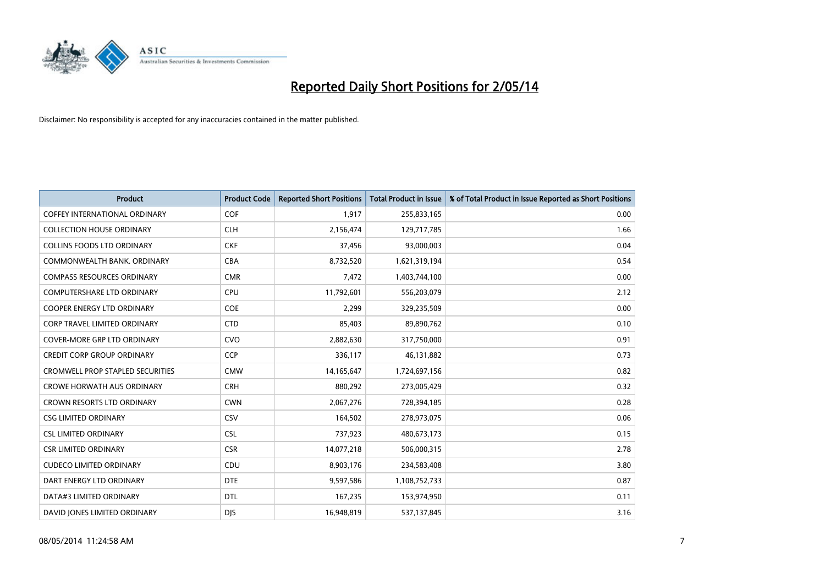

| <b>Product</b>                          | <b>Product Code</b> | <b>Reported Short Positions</b> | <b>Total Product in Issue</b> | % of Total Product in Issue Reported as Short Positions |
|-----------------------------------------|---------------------|---------------------------------|-------------------------------|---------------------------------------------------------|
| <b>COFFEY INTERNATIONAL ORDINARY</b>    | <b>COF</b>          | 1,917                           | 255,833,165                   | 0.00                                                    |
| <b>COLLECTION HOUSE ORDINARY</b>        | <b>CLH</b>          | 2,156,474                       | 129,717,785                   | 1.66                                                    |
| <b>COLLINS FOODS LTD ORDINARY</b>       | <b>CKF</b>          | 37,456                          | 93,000,003                    | 0.04                                                    |
| COMMONWEALTH BANK, ORDINARY             | <b>CBA</b>          | 8,732,520                       | 1,621,319,194                 | 0.54                                                    |
| <b>COMPASS RESOURCES ORDINARY</b>       | <b>CMR</b>          | 7,472                           | 1,403,744,100                 | 0.00                                                    |
| <b>COMPUTERSHARE LTD ORDINARY</b>       | <b>CPU</b>          | 11,792,601                      | 556,203,079                   | 2.12                                                    |
| <b>COOPER ENERGY LTD ORDINARY</b>       | <b>COE</b>          | 2,299                           | 329,235,509                   | 0.00                                                    |
| <b>CORP TRAVEL LIMITED ORDINARY</b>     | <b>CTD</b>          | 85.403                          | 89,890,762                    | 0.10                                                    |
| <b>COVER-MORE GRP LTD ORDINARY</b>      | <b>CVO</b>          | 2,882,630                       | 317,750,000                   | 0.91                                                    |
| CREDIT CORP GROUP ORDINARY              | <b>CCP</b>          | 336,117                         | 46,131,882                    | 0.73                                                    |
| <b>CROMWELL PROP STAPLED SECURITIES</b> | <b>CMW</b>          | 14,165,647                      | 1,724,697,156                 | 0.82                                                    |
| <b>CROWE HORWATH AUS ORDINARY</b>       | <b>CRH</b>          | 880,292                         | 273,005,429                   | 0.32                                                    |
| <b>CROWN RESORTS LTD ORDINARY</b>       | <b>CWN</b>          | 2,067,276                       | 728,394,185                   | 0.28                                                    |
| <b>CSG LIMITED ORDINARY</b>             | CSV                 | 164,502                         | 278,973,075                   | 0.06                                                    |
| <b>CSL LIMITED ORDINARY</b>             | <b>CSL</b>          | 737,923                         | 480,673,173                   | 0.15                                                    |
| <b>CSR LIMITED ORDINARY</b>             | <b>CSR</b>          | 14,077,218                      | 506,000,315                   | 2.78                                                    |
| <b>CUDECO LIMITED ORDINARY</b>          | CDU                 | 8,903,176                       | 234,583,408                   | 3.80                                                    |
| DART ENERGY LTD ORDINARY                | <b>DTE</b>          | 9,597,586                       | 1,108,752,733                 | 0.87                                                    |
| DATA#3 LIMITED ORDINARY                 | <b>DTL</b>          | 167,235                         | 153,974,950                   | 0.11                                                    |
| DAVID JONES LIMITED ORDINARY            | <b>DJS</b>          | 16,948,819                      | 537,137,845                   | 3.16                                                    |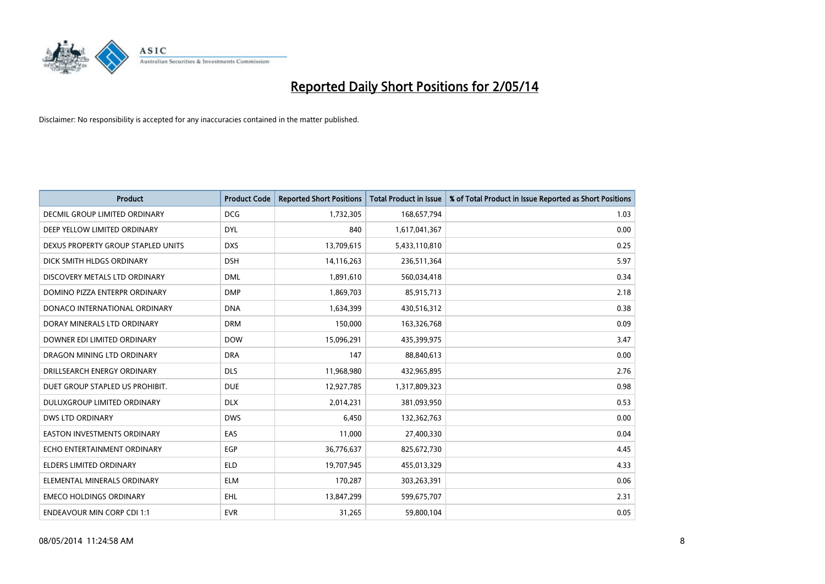

| Product                            | <b>Product Code</b> | <b>Reported Short Positions</b> | <b>Total Product in Issue</b> | % of Total Product in Issue Reported as Short Positions |
|------------------------------------|---------------------|---------------------------------|-------------------------------|---------------------------------------------------------|
| DECMIL GROUP LIMITED ORDINARY      | <b>DCG</b>          | 1,732,305                       | 168,657,794                   | 1.03                                                    |
| DEEP YELLOW LIMITED ORDINARY       | <b>DYL</b>          | 840                             | 1,617,041,367                 | 0.00                                                    |
| DEXUS PROPERTY GROUP STAPLED UNITS | <b>DXS</b>          | 13,709,615                      | 5,433,110,810                 | 0.25                                                    |
| DICK SMITH HLDGS ORDINARY          | <b>DSH</b>          | 14,116,263                      | 236,511,364                   | 5.97                                                    |
| DISCOVERY METALS LTD ORDINARY      | <b>DML</b>          | 1,891,610                       | 560,034,418                   | 0.34                                                    |
| DOMINO PIZZA ENTERPR ORDINARY      | <b>DMP</b>          | 1,869,703                       | 85,915,713                    | 2.18                                                    |
| DONACO INTERNATIONAL ORDINARY      | <b>DNA</b>          | 1,634,399                       | 430,516,312                   | 0.38                                                    |
| DORAY MINERALS LTD ORDINARY        | <b>DRM</b>          | 150,000                         | 163,326,768                   | 0.09                                                    |
| DOWNER EDI LIMITED ORDINARY        | <b>DOW</b>          | 15,096,291                      | 435,399,975                   | 3.47                                                    |
| DRAGON MINING LTD ORDINARY         | <b>DRA</b>          | 147                             | 88,840,613                    | 0.00                                                    |
| DRILLSEARCH ENERGY ORDINARY        | <b>DLS</b>          | 11,968,980                      | 432,965,895                   | 2.76                                                    |
| DUET GROUP STAPLED US PROHIBIT.    | <b>DUE</b>          | 12,927,785                      | 1,317,809,323                 | 0.98                                                    |
| <b>DULUXGROUP LIMITED ORDINARY</b> | <b>DLX</b>          | 2,014,231                       | 381,093,950                   | 0.53                                                    |
| <b>DWS LTD ORDINARY</b>            | <b>DWS</b>          | 6,450                           | 132,362,763                   | 0.00                                                    |
| <b>EASTON INVESTMENTS ORDINARY</b> | EAS                 | 11,000                          | 27,400,330                    | 0.04                                                    |
| ECHO ENTERTAINMENT ORDINARY        | <b>EGP</b>          | 36,776,637                      | 825,672,730                   | 4.45                                                    |
| <b>ELDERS LIMITED ORDINARY</b>     | <b>ELD</b>          | 19,707,945                      | 455,013,329                   | 4.33                                                    |
| ELEMENTAL MINERALS ORDINARY        | <b>ELM</b>          | 170,287                         | 303,263,391                   | 0.06                                                    |
| <b>EMECO HOLDINGS ORDINARY</b>     | EHL                 | 13,847,299                      | 599,675,707                   | 2.31                                                    |
| <b>ENDEAVOUR MIN CORP CDI 1:1</b>  | <b>EVR</b>          | 31,265                          | 59,800,104                    | 0.05                                                    |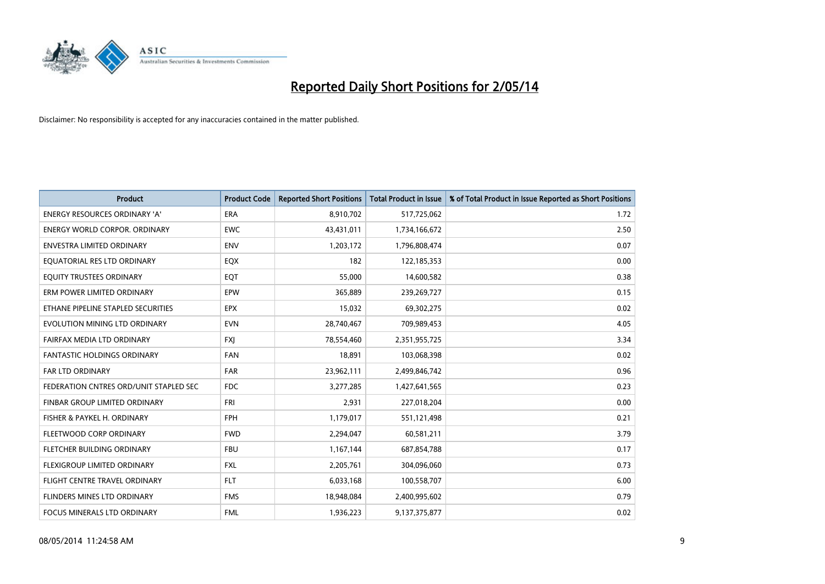

| <b>Product</b>                         | <b>Product Code</b> | <b>Reported Short Positions</b> | <b>Total Product in Issue</b> | % of Total Product in Issue Reported as Short Positions |
|----------------------------------------|---------------------|---------------------------------|-------------------------------|---------------------------------------------------------|
| <b>ENERGY RESOURCES ORDINARY 'A'</b>   | <b>ERA</b>          | 8,910,702                       | 517,725,062                   | 1.72                                                    |
| ENERGY WORLD CORPOR. ORDINARY          | <b>EWC</b>          | 43,431,011                      | 1,734,166,672                 | 2.50                                                    |
| <b>ENVESTRA LIMITED ORDINARY</b>       | <b>ENV</b>          | 1,203,172                       | 1,796,808,474                 | 0.07                                                    |
| EQUATORIAL RES LTD ORDINARY            | EQX                 | 182                             | 122,185,353                   | 0.00                                                    |
| EQUITY TRUSTEES ORDINARY               | EQT                 | 55,000                          | 14,600,582                    | 0.38                                                    |
| ERM POWER LIMITED ORDINARY             | EPW                 | 365,889                         | 239,269,727                   | 0.15                                                    |
| ETHANE PIPELINE STAPLED SECURITIES     | <b>EPX</b>          | 15,032                          | 69,302,275                    | 0.02                                                    |
| EVOLUTION MINING LTD ORDINARY          | <b>EVN</b>          | 28,740,467                      | 709,989,453                   | 4.05                                                    |
| FAIRFAX MEDIA LTD ORDINARY             | <b>FXI</b>          | 78,554,460                      | 2,351,955,725                 | 3.34                                                    |
| <b>FANTASTIC HOLDINGS ORDINARY</b>     | <b>FAN</b>          | 18,891                          | 103,068,398                   | 0.02                                                    |
| FAR LTD ORDINARY                       | <b>FAR</b>          | 23,962,111                      | 2,499,846,742                 | 0.96                                                    |
| FEDERATION CNTRES ORD/UNIT STAPLED SEC | <b>FDC</b>          | 3,277,285                       | 1,427,641,565                 | 0.23                                                    |
| FINBAR GROUP LIMITED ORDINARY          | <b>FRI</b>          | 2,931                           | 227,018,204                   | 0.00                                                    |
| FISHER & PAYKEL H. ORDINARY            | FPH                 | 1,179,017                       | 551,121,498                   | 0.21                                                    |
| FLEETWOOD CORP ORDINARY                | <b>FWD</b>          | 2,294,047                       | 60,581,211                    | 3.79                                                    |
| FLETCHER BUILDING ORDINARY             | <b>FBU</b>          | 1,167,144                       | 687,854,788                   | 0.17                                                    |
| FLEXIGROUP LIMITED ORDINARY            | <b>FXL</b>          | 2,205,761                       | 304,096,060                   | 0.73                                                    |
| FLIGHT CENTRE TRAVEL ORDINARY          | <b>FLT</b>          | 6,033,168                       | 100,558,707                   | 6.00                                                    |
| FLINDERS MINES LTD ORDINARY            | <b>FMS</b>          | 18,948,084                      | 2,400,995,602                 | 0.79                                                    |
| FOCUS MINERALS LTD ORDINARY            | <b>FML</b>          | 1,936,223                       | 9,137,375,877                 | 0.02                                                    |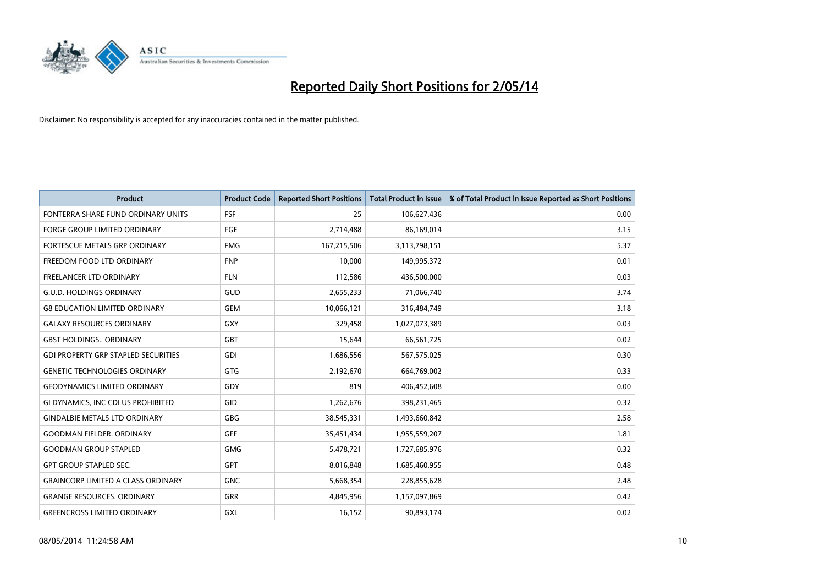

| <b>Product</b>                             | <b>Product Code</b> | <b>Reported Short Positions</b> | <b>Total Product in Issue</b> | % of Total Product in Issue Reported as Short Positions |
|--------------------------------------------|---------------------|---------------------------------|-------------------------------|---------------------------------------------------------|
| FONTERRA SHARE FUND ORDINARY UNITS         | <b>FSF</b>          | 25                              | 106,627,436                   | 0.00                                                    |
| <b>FORGE GROUP LIMITED ORDINARY</b>        | <b>FGE</b>          | 2,714,488                       | 86,169,014                    | 3.15                                                    |
| FORTESCUE METALS GRP ORDINARY              | <b>FMG</b>          | 167,215,506                     | 3,113,798,151                 | 5.37                                                    |
| FREEDOM FOOD LTD ORDINARY                  | <b>FNP</b>          | 10.000                          | 149,995,372                   | 0.01                                                    |
| <b>FREELANCER LTD ORDINARY</b>             | <b>FLN</b>          | 112,586                         | 436,500,000                   | 0.03                                                    |
| <b>G.U.D. HOLDINGS ORDINARY</b>            | GUD                 | 2,655,233                       | 71,066,740                    | 3.74                                                    |
| <b>G8 EDUCATION LIMITED ORDINARY</b>       | <b>GEM</b>          | 10,066,121                      | 316,484,749                   | 3.18                                                    |
| <b>GALAXY RESOURCES ORDINARY</b>           | <b>GXY</b>          | 329,458                         | 1,027,073,389                 | 0.03                                                    |
| <b>GBST HOLDINGS ORDINARY</b>              | <b>GBT</b>          | 15,644                          | 66,561,725                    | 0.02                                                    |
| <b>GDI PROPERTY GRP STAPLED SECURITIES</b> | GDI                 | 1,686,556                       | 567,575,025                   | 0.30                                                    |
| GENETIC TECHNOLOGIES ORDINARY              | <b>GTG</b>          | 2,192,670                       | 664,769,002                   | 0.33                                                    |
| <b>GEODYNAMICS LIMITED ORDINARY</b>        | GDY                 | 819                             | 406,452,608                   | 0.00                                                    |
| GI DYNAMICS, INC CDI US PROHIBITED         | <b>GID</b>          | 1,262,676                       | 398,231,465                   | 0.32                                                    |
| <b>GINDALBIE METALS LTD ORDINARY</b>       | GBG                 | 38,545,331                      | 1,493,660,842                 | 2.58                                                    |
| <b>GOODMAN FIELDER, ORDINARY</b>           | <b>GFF</b>          | 35,451,434                      | 1,955,559,207                 | 1.81                                                    |
| <b>GOODMAN GROUP STAPLED</b>               | <b>GMG</b>          | 5,478,721                       | 1,727,685,976                 | 0.32                                                    |
| <b>GPT GROUP STAPLED SEC.</b>              | GPT                 | 8,016,848                       | 1,685,460,955                 | 0.48                                                    |
| <b>GRAINCORP LIMITED A CLASS ORDINARY</b>  | <b>GNC</b>          | 5,668,354                       | 228,855,628                   | 2.48                                                    |
| <b>GRANGE RESOURCES, ORDINARY</b>          | <b>GRR</b>          | 4,845,956                       | 1,157,097,869                 | 0.42                                                    |
| <b>GREENCROSS LIMITED ORDINARY</b>         | <b>GXL</b>          | 16,152                          | 90,893,174                    | 0.02                                                    |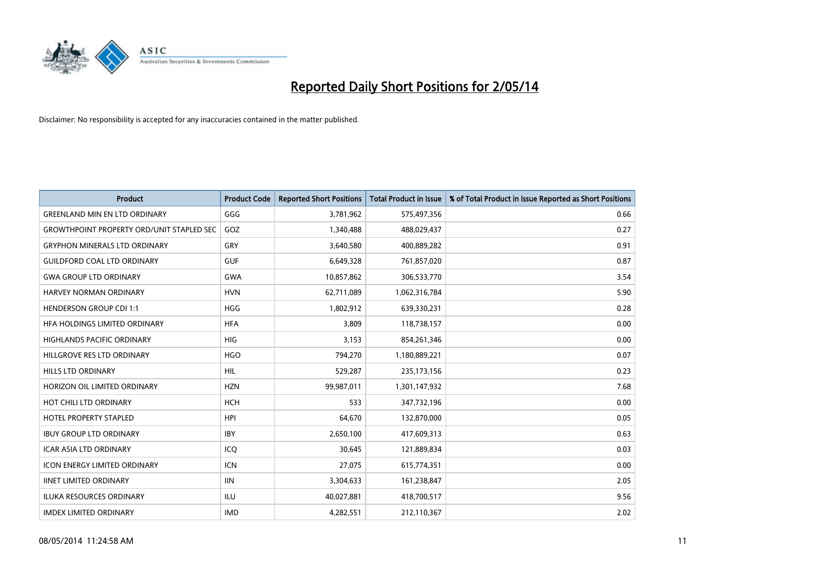

| <b>Product</b>                                   | <b>Product Code</b> | <b>Reported Short Positions</b> | <b>Total Product in Issue</b> | % of Total Product in Issue Reported as Short Positions |
|--------------------------------------------------|---------------------|---------------------------------|-------------------------------|---------------------------------------------------------|
| <b>GREENLAND MIN EN LTD ORDINARY</b>             | GGG                 | 3,781,962                       | 575,497,356                   | 0.66                                                    |
| <b>GROWTHPOINT PROPERTY ORD/UNIT STAPLED SEC</b> | GOZ                 | 1,340,488                       | 488,029,437                   | 0.27                                                    |
| <b>GRYPHON MINERALS LTD ORDINARY</b>             | GRY                 | 3,640,580                       | 400,889,282                   | 0.91                                                    |
| <b>GUILDFORD COAL LTD ORDINARY</b>               | <b>GUF</b>          | 6,649,328                       | 761,857,020                   | 0.87                                                    |
| <b>GWA GROUP LTD ORDINARY</b>                    | <b>GWA</b>          | 10,857,862                      | 306,533,770                   | 3.54                                                    |
| HARVEY NORMAN ORDINARY                           | <b>HVN</b>          | 62,711,089                      | 1,062,316,784                 | 5.90                                                    |
| <b>HENDERSON GROUP CDI 1:1</b>                   | <b>HGG</b>          | 1,802,912                       | 639,330,231                   | 0.28                                                    |
| <b>HFA HOLDINGS LIMITED ORDINARY</b>             | <b>HFA</b>          | 3,809                           | 118,738,157                   | 0.00                                                    |
| HIGHLANDS PACIFIC ORDINARY                       | HIG                 | 3,153                           | 854,261,346                   | 0.00                                                    |
| HILLGROVE RES LTD ORDINARY                       | <b>HGO</b>          | 794,270                         | 1,180,889,221                 | 0.07                                                    |
| HILLS LTD ORDINARY                               | <b>HIL</b>          | 529,287                         | 235, 173, 156                 | 0.23                                                    |
| HORIZON OIL LIMITED ORDINARY                     | <b>HZN</b>          | 99,987,011                      | 1,301,147,932                 | 7.68                                                    |
| HOT CHILI LTD ORDINARY                           | <b>HCH</b>          | 533                             | 347,732,196                   | 0.00                                                    |
| <b>HOTEL PROPERTY STAPLED</b>                    | <b>HPI</b>          | 64,670                          | 132,870,000                   | 0.05                                                    |
| <b>IBUY GROUP LTD ORDINARY</b>                   | <b>IBY</b>          | 2,650,100                       | 417,609,313                   | 0.63                                                    |
| <b>ICAR ASIA LTD ORDINARY</b>                    | ICO                 | 30,645                          | 121,889,834                   | 0.03                                                    |
| <b>ICON ENERGY LIMITED ORDINARY</b>              | <b>ICN</b>          | 27,075                          | 615,774,351                   | 0.00                                                    |
| <b>IINET LIMITED ORDINARY</b>                    | <b>IIN</b>          | 3,304,633                       | 161,238,847                   | 2.05                                                    |
| <b>ILUKA RESOURCES ORDINARY</b>                  | ILU                 | 40,027,881                      | 418,700,517                   | 9.56                                                    |
| <b>IMDEX LIMITED ORDINARY</b>                    | <b>IMD</b>          | 4,282,551                       | 212,110,367                   | 2.02                                                    |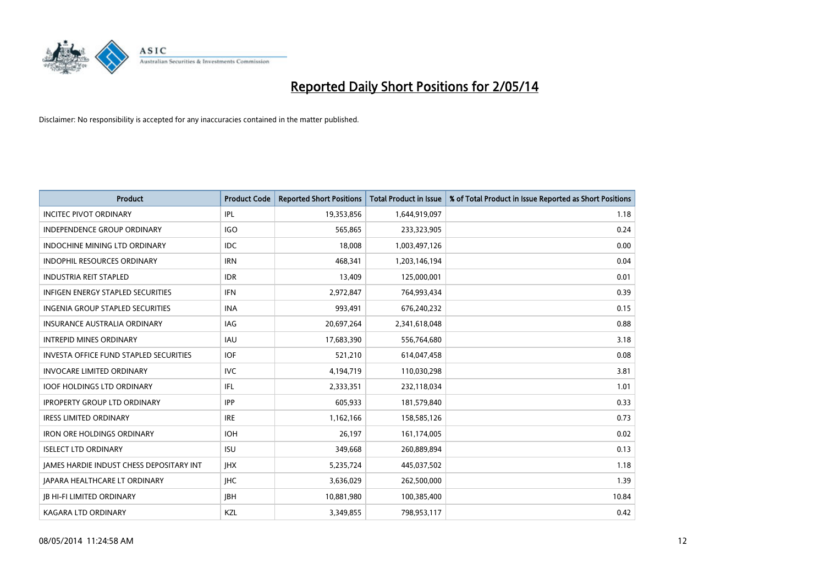

| <b>Product</b>                                | <b>Product Code</b> | <b>Reported Short Positions</b> | <b>Total Product in Issue</b> | % of Total Product in Issue Reported as Short Positions |
|-----------------------------------------------|---------------------|---------------------------------|-------------------------------|---------------------------------------------------------|
| <b>INCITEC PIVOT ORDINARY</b>                 | IPL                 | 19,353,856                      | 1,644,919,097                 | 1.18                                                    |
| <b>INDEPENDENCE GROUP ORDINARY</b>            | IGO                 | 565,865                         | 233,323,905                   | 0.24                                                    |
| <b>INDOCHINE MINING LTD ORDINARY</b>          | IDC.                | 18,008                          | 1,003,497,126                 | 0.00                                                    |
| INDOPHIL RESOURCES ORDINARY                   | <b>IRN</b>          | 468,341                         | 1,203,146,194                 | 0.04                                                    |
| <b>INDUSTRIA REIT STAPLED</b>                 | <b>IDR</b>          | 13,409                          | 125,000,001                   | 0.01                                                    |
| <b>INFIGEN ENERGY STAPLED SECURITIES</b>      | <b>IFN</b>          | 2,972,847                       | 764,993,434                   | 0.39                                                    |
| INGENIA GROUP STAPLED SECURITIES              | <b>INA</b>          | 993.491                         | 676,240,232                   | 0.15                                                    |
| <b>INSURANCE AUSTRALIA ORDINARY</b>           | IAG                 | 20,697,264                      | 2,341,618,048                 | 0.88                                                    |
| <b>INTREPID MINES ORDINARY</b>                | <b>IAU</b>          | 17,683,390                      | 556,764,680                   | 3.18                                                    |
| <b>INVESTA OFFICE FUND STAPLED SECURITIES</b> | <b>IOF</b>          | 521,210                         | 614,047,458                   | 0.08                                                    |
| <b>INVOCARE LIMITED ORDINARY</b>              | IVC                 | 4,194,719                       | 110,030,298                   | 3.81                                                    |
| <b>IOOF HOLDINGS LTD ORDINARY</b>             | IFL                 | 2,333,351                       | 232,118,034                   | 1.01                                                    |
| <b>IPROPERTY GROUP LTD ORDINARY</b>           | <b>IPP</b>          | 605.933                         | 181,579,840                   | 0.33                                                    |
| <b>IRESS LIMITED ORDINARY</b>                 | <b>IRE</b>          | 1,162,166                       | 158,585,126                   | 0.73                                                    |
| <b>IRON ORE HOLDINGS ORDINARY</b>             | <b>IOH</b>          | 26,197                          | 161,174,005                   | 0.02                                                    |
| <b>ISELECT LTD ORDINARY</b>                   | <b>ISU</b>          | 349,668                         | 260,889,894                   | 0.13                                                    |
| JAMES HARDIE INDUST CHESS DEPOSITARY INT      | <b>IHX</b>          | 5,235,724                       | 445,037,502                   | 1.18                                                    |
| JAPARA HEALTHCARE LT ORDINARY                 | <b>IHC</b>          | 3,636,029                       | 262,500,000                   | 1.39                                                    |
| <b>IB HI-FI LIMITED ORDINARY</b>              | <b>IBH</b>          | 10,881,980                      | 100,385,400                   | 10.84                                                   |
| <b>KAGARA LTD ORDINARY</b>                    | KZL                 | 3,349,855                       | 798,953,117                   | 0.42                                                    |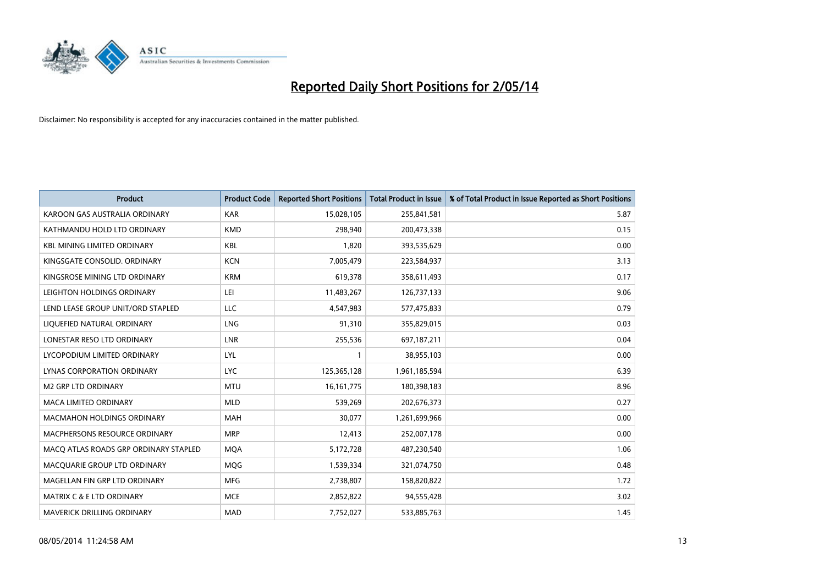

| <b>Product</b>                        | <b>Product Code</b> | <b>Reported Short Positions</b> | <b>Total Product in Issue</b> | % of Total Product in Issue Reported as Short Positions |
|---------------------------------------|---------------------|---------------------------------|-------------------------------|---------------------------------------------------------|
| KAROON GAS AUSTRALIA ORDINARY         | <b>KAR</b>          | 15,028,105                      | 255,841,581                   | 5.87                                                    |
| KATHMANDU HOLD LTD ORDINARY           | <b>KMD</b>          | 298,940                         | 200,473,338                   | 0.15                                                    |
| <b>KBL MINING LIMITED ORDINARY</b>    | <b>KBL</b>          | 1,820                           | 393,535,629                   | 0.00                                                    |
| KINGSGATE CONSOLID. ORDINARY          | <b>KCN</b>          | 7,005,479                       | 223,584,937                   | 3.13                                                    |
| KINGSROSE MINING LTD ORDINARY         | <b>KRM</b>          | 619,378                         | 358,611,493                   | 0.17                                                    |
| LEIGHTON HOLDINGS ORDINARY            | LEI                 | 11,483,267                      | 126,737,133                   | 9.06                                                    |
| LEND LEASE GROUP UNIT/ORD STAPLED     | LLC                 | 4,547,983                       | 577,475,833                   | 0.79                                                    |
| LIQUEFIED NATURAL ORDINARY            | LNG                 | 91,310                          | 355,829,015                   | 0.03                                                    |
| LONESTAR RESO LTD ORDINARY            | <b>LNR</b>          | 255,536                         | 697,187,211                   | 0.04                                                    |
| LYCOPODIUM LIMITED ORDINARY           | LYL                 | 1                               | 38,955,103                    | 0.00                                                    |
| LYNAS CORPORATION ORDINARY            | <b>LYC</b>          | 125,365,128                     | 1,961,185,594                 | 6.39                                                    |
| <b>M2 GRP LTD ORDINARY</b>            | <b>MTU</b>          | 16, 161, 775                    | 180,398,183                   | 8.96                                                    |
| <b>MACA LIMITED ORDINARY</b>          | <b>MLD</b>          | 539,269                         | 202,676,373                   | 0.27                                                    |
| <b>MACMAHON HOLDINGS ORDINARY</b>     | MAH                 | 30,077                          | 1,261,699,966                 | 0.00                                                    |
| <b>MACPHERSONS RESOURCE ORDINARY</b>  | <b>MRP</b>          | 12,413                          | 252,007,178                   | 0.00                                                    |
| MACO ATLAS ROADS GRP ORDINARY STAPLED | <b>MOA</b>          | 5,172,728                       | 487,230,540                   | 1.06                                                    |
| MACQUARIE GROUP LTD ORDINARY          | MQG                 | 1,539,334                       | 321,074,750                   | 0.48                                                    |
| MAGELLAN FIN GRP LTD ORDINARY         | <b>MFG</b>          | 2,738,807                       | 158,820,822                   | 1.72                                                    |
| MATRIX C & E LTD ORDINARY             | <b>MCE</b>          | 2,852,822                       | 94,555,428                    | 3.02                                                    |
| MAVERICK DRILLING ORDINARY            | <b>MAD</b>          | 7,752,027                       | 533,885,763                   | 1.45                                                    |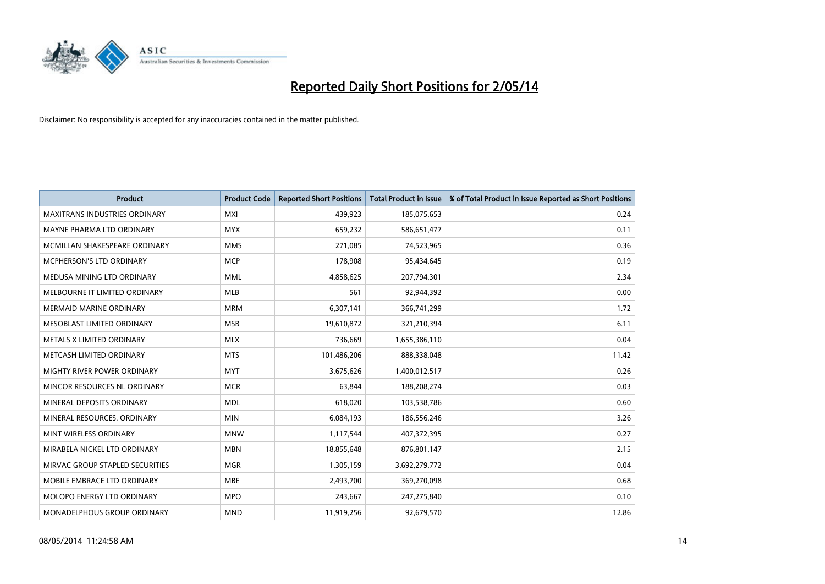

| <b>Product</b>                       | <b>Product Code</b> | <b>Reported Short Positions</b> | <b>Total Product in Issue</b> | % of Total Product in Issue Reported as Short Positions |
|--------------------------------------|---------------------|---------------------------------|-------------------------------|---------------------------------------------------------|
| <b>MAXITRANS INDUSTRIES ORDINARY</b> | <b>MXI</b>          | 439,923                         | 185,075,653                   | 0.24                                                    |
| MAYNE PHARMA LTD ORDINARY            | <b>MYX</b>          | 659,232                         | 586,651,477                   | 0.11                                                    |
| MCMILLAN SHAKESPEARE ORDINARY        | <b>MMS</b>          | 271,085                         | 74,523,965                    | 0.36                                                    |
| MCPHERSON'S LTD ORDINARY             | <b>MCP</b>          | 178,908                         | 95,434,645                    | 0.19                                                    |
| MEDUSA MINING LTD ORDINARY           | <b>MML</b>          | 4,858,625                       | 207,794,301                   | 2.34                                                    |
| MELBOURNE IT LIMITED ORDINARY        | <b>MLB</b>          | 561                             | 92,944,392                    | 0.00                                                    |
| <b>MERMAID MARINE ORDINARY</b>       | <b>MRM</b>          | 6,307,141                       | 366,741,299                   | 1.72                                                    |
| MESOBLAST LIMITED ORDINARY           | <b>MSB</b>          | 19,610,872                      | 321,210,394                   | 6.11                                                    |
| METALS X LIMITED ORDINARY            | <b>MLX</b>          | 736,669                         | 1,655,386,110                 | 0.04                                                    |
| METCASH LIMITED ORDINARY             | <b>MTS</b>          | 101,486,206                     | 888,338,048                   | 11.42                                                   |
| MIGHTY RIVER POWER ORDINARY          | <b>MYT</b>          | 3,675,626                       | 1,400,012,517                 | 0.26                                                    |
| MINCOR RESOURCES NL ORDINARY         | <b>MCR</b>          | 63,844                          | 188,208,274                   | 0.03                                                    |
| MINERAL DEPOSITS ORDINARY            | <b>MDL</b>          | 618,020                         | 103,538,786                   | 0.60                                                    |
| MINERAL RESOURCES, ORDINARY          | <b>MIN</b>          | 6,084,193                       | 186,556,246                   | 3.26                                                    |
| MINT WIRELESS ORDINARY               | <b>MNW</b>          | 1,117,544                       | 407,372,395                   | 0.27                                                    |
| MIRABELA NICKEL LTD ORDINARY         | <b>MBN</b>          | 18,855,648                      | 876,801,147                   | 2.15                                                    |
| MIRVAC GROUP STAPLED SECURITIES      | <b>MGR</b>          | 1,305,159                       | 3,692,279,772                 | 0.04                                                    |
| MOBILE EMBRACE LTD ORDINARY          | <b>MBE</b>          | 2,493,700                       | 369,270,098                   | 0.68                                                    |
| MOLOPO ENERGY LTD ORDINARY           | <b>MPO</b>          | 243,667                         | 247,275,840                   | 0.10                                                    |
| <b>MONADELPHOUS GROUP ORDINARY</b>   | <b>MND</b>          | 11,919,256                      | 92,679,570                    | 12.86                                                   |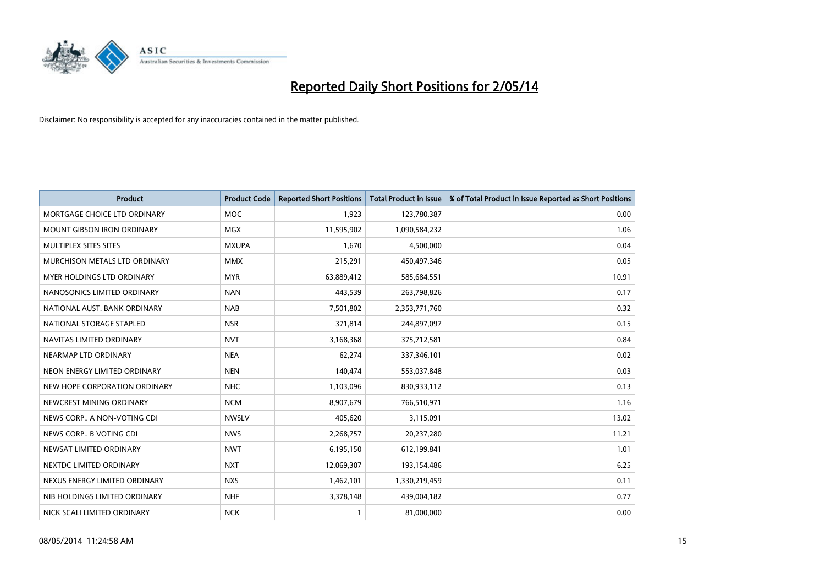

| <b>Product</b>                    | <b>Product Code</b> | <b>Reported Short Positions</b> | <b>Total Product in Issue</b> | % of Total Product in Issue Reported as Short Positions |
|-----------------------------------|---------------------|---------------------------------|-------------------------------|---------------------------------------------------------|
| MORTGAGE CHOICE LTD ORDINARY      | MOC                 | 1,923                           | 123,780,387                   | 0.00                                                    |
| <b>MOUNT GIBSON IRON ORDINARY</b> | <b>MGX</b>          | 11,595,902                      | 1,090,584,232                 | 1.06                                                    |
| MULTIPLEX SITES SITES             | <b>MXUPA</b>        | 1,670                           | 4,500,000                     | 0.04                                                    |
| MURCHISON METALS LTD ORDINARY     | <b>MMX</b>          | 215,291                         | 450,497,346                   | 0.05                                                    |
| <b>MYER HOLDINGS LTD ORDINARY</b> | <b>MYR</b>          | 63,889,412                      | 585,684,551                   | 10.91                                                   |
| NANOSONICS LIMITED ORDINARY       | <b>NAN</b>          | 443,539                         | 263,798,826                   | 0.17                                                    |
| NATIONAL AUST. BANK ORDINARY      | <b>NAB</b>          | 7,501,802                       | 2,353,771,760                 | 0.32                                                    |
| NATIONAL STORAGE STAPLED          | <b>NSR</b>          | 371,814                         | 244,897,097                   | 0.15                                                    |
| NAVITAS LIMITED ORDINARY          | <b>NVT</b>          | 3,168,368                       | 375,712,581                   | 0.84                                                    |
| NEARMAP LTD ORDINARY              | <b>NEA</b>          | 62,274                          | 337,346,101                   | 0.02                                                    |
| NEON ENERGY LIMITED ORDINARY      | <b>NEN</b>          | 140,474                         | 553,037,848                   | 0.03                                                    |
| NEW HOPE CORPORATION ORDINARY     | NHC                 | 1,103,096                       | 830,933,112                   | 0.13                                                    |
| NEWCREST MINING ORDINARY          | <b>NCM</b>          | 8,907,679                       | 766,510,971                   | 1.16                                                    |
| NEWS CORP A NON-VOTING CDI        | <b>NWSLV</b>        | 405,620                         | 3,115,091                     | 13.02                                                   |
| NEWS CORP B VOTING CDI            | <b>NWS</b>          | 2,268,757                       | 20,237,280                    | 11.21                                                   |
| NEWSAT LIMITED ORDINARY           | <b>NWT</b>          | 6,195,150                       | 612,199,841                   | 1.01                                                    |
| NEXTDC LIMITED ORDINARY           | <b>NXT</b>          | 12,069,307                      | 193,154,486                   | 6.25                                                    |
| NEXUS ENERGY LIMITED ORDINARY     | <b>NXS</b>          | 1,462,101                       | 1,330,219,459                 | 0.11                                                    |
| NIB HOLDINGS LIMITED ORDINARY     | <b>NHF</b>          | 3,378,148                       | 439,004,182                   | 0.77                                                    |
| NICK SCALI LIMITED ORDINARY       | <b>NCK</b>          |                                 | 81,000,000                    | 0.00                                                    |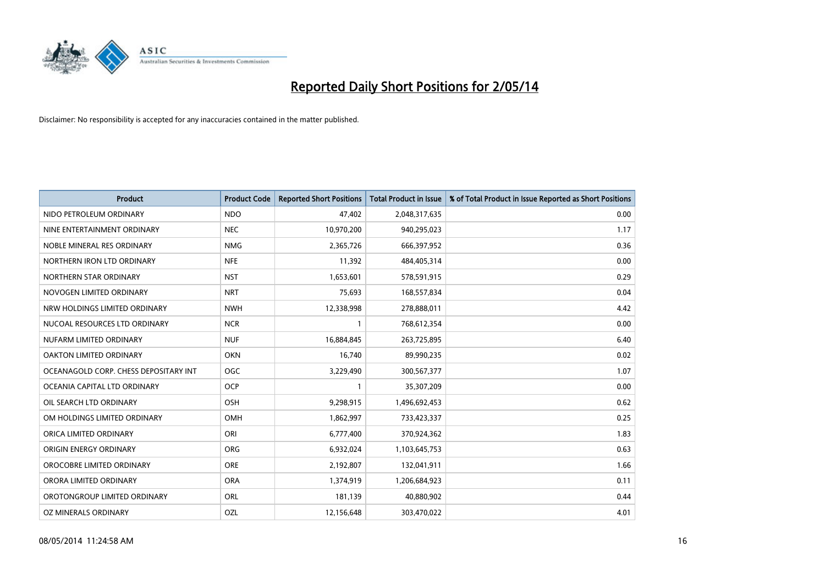

| <b>Product</b>                        | <b>Product Code</b> | <b>Reported Short Positions</b> | <b>Total Product in Issue</b> | % of Total Product in Issue Reported as Short Positions |
|---------------------------------------|---------------------|---------------------------------|-------------------------------|---------------------------------------------------------|
| NIDO PETROLEUM ORDINARY               | <b>NDO</b>          | 47,402                          | 2,048,317,635                 | 0.00                                                    |
| NINE ENTERTAINMENT ORDINARY           | <b>NEC</b>          | 10,970,200                      | 940,295,023                   | 1.17                                                    |
| NOBLE MINERAL RES ORDINARY            | <b>NMG</b>          | 2,365,726                       | 666,397,952                   | 0.36                                                    |
| NORTHERN IRON LTD ORDINARY            | <b>NFE</b>          | 11,392                          | 484,405,314                   | 0.00                                                    |
| NORTHERN STAR ORDINARY                | <b>NST</b>          | 1,653,601                       | 578,591,915                   | 0.29                                                    |
| NOVOGEN LIMITED ORDINARY              | <b>NRT</b>          | 75,693                          | 168,557,834                   | 0.04                                                    |
| NRW HOLDINGS LIMITED ORDINARY         | <b>NWH</b>          | 12,338,998                      | 278,888,011                   | 4.42                                                    |
| NUCOAL RESOURCES LTD ORDINARY         | <b>NCR</b>          | $\mathbf{1}$                    | 768,612,354                   | 0.00                                                    |
| NUFARM LIMITED ORDINARY               | <b>NUF</b>          | 16,884,845                      | 263,725,895                   | 6.40                                                    |
| <b>OAKTON LIMITED ORDINARY</b>        | <b>OKN</b>          | 16,740                          | 89,990,235                    | 0.02                                                    |
| OCEANAGOLD CORP. CHESS DEPOSITARY INT | <b>OGC</b>          | 3,229,490                       | 300,567,377                   | 1.07                                                    |
| OCEANIA CAPITAL LTD ORDINARY          | <b>OCP</b>          | $\mathbf{1}$                    | 35,307,209                    | 0.00                                                    |
| OIL SEARCH LTD ORDINARY               | OSH                 | 9,298,915                       | 1,496,692,453                 | 0.62                                                    |
| OM HOLDINGS LIMITED ORDINARY          | OMH                 | 1,862,997                       | 733,423,337                   | 0.25                                                    |
| ORICA LIMITED ORDINARY                | ORI                 | 6,777,400                       | 370,924,362                   | 1.83                                                    |
| ORIGIN ENERGY ORDINARY                | ORG                 | 6,932,024                       | 1,103,645,753                 | 0.63                                                    |
| OROCOBRE LIMITED ORDINARY             | <b>ORE</b>          | 2,192,807                       | 132,041,911                   | 1.66                                                    |
| ORORA LIMITED ORDINARY                | <b>ORA</b>          | 1,374,919                       | 1,206,684,923                 | 0.11                                                    |
| OROTONGROUP LIMITED ORDINARY          | ORL                 | 181,139                         | 40,880,902                    | 0.44                                                    |
| OZ MINERALS ORDINARY                  | OZL                 | 12,156,648                      | 303,470,022                   | 4.01                                                    |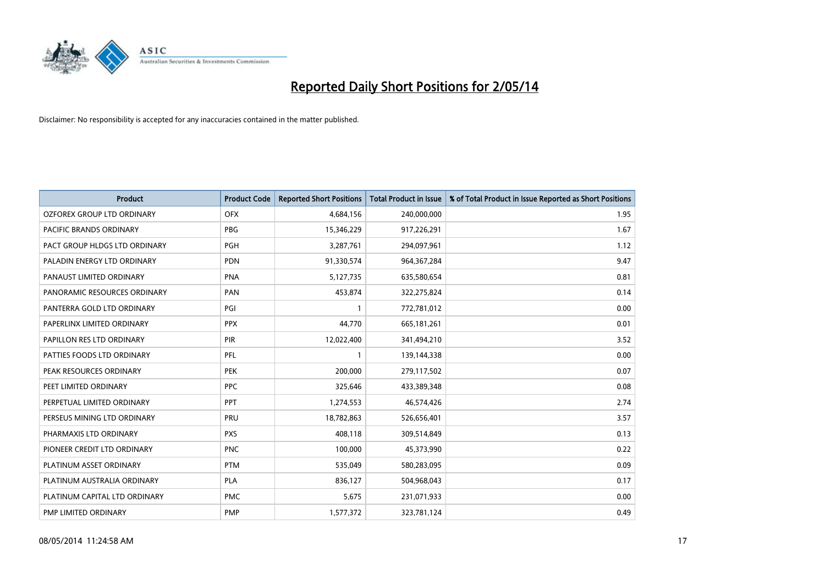

| <b>Product</b>                | <b>Product Code</b> | <b>Reported Short Positions</b> | <b>Total Product in Issue</b> | % of Total Product in Issue Reported as Short Positions |
|-------------------------------|---------------------|---------------------------------|-------------------------------|---------------------------------------------------------|
| OZFOREX GROUP LTD ORDINARY    | <b>OFX</b>          | 4,684,156                       | 240,000,000                   | 1.95                                                    |
| PACIFIC BRANDS ORDINARY       | <b>PBG</b>          | 15,346,229                      | 917,226,291                   | 1.67                                                    |
| PACT GROUP HLDGS LTD ORDINARY | <b>PGH</b>          | 3,287,761                       | 294,097,961                   | 1.12                                                    |
| PALADIN ENERGY LTD ORDINARY   | <b>PDN</b>          | 91,330,574                      | 964, 367, 284                 | 9.47                                                    |
| PANAUST LIMITED ORDINARY      | <b>PNA</b>          | 5,127,735                       | 635,580,654                   | 0.81                                                    |
| PANORAMIC RESOURCES ORDINARY  | PAN                 | 453,874                         | 322,275,824                   | 0.14                                                    |
| PANTERRA GOLD LTD ORDINARY    | PGI                 |                                 | 772,781,012                   | 0.00                                                    |
| PAPERLINX LIMITED ORDINARY    | <b>PPX</b>          | 44,770                          | 665, 181, 261                 | 0.01                                                    |
| PAPILLON RES LTD ORDINARY     | PIR                 | 12,022,400                      | 341,494,210                   | 3.52                                                    |
| PATTIES FOODS LTD ORDINARY    | <b>PFL</b>          | $\mathbf{1}$                    | 139,144,338                   | 0.00                                                    |
| PEAK RESOURCES ORDINARY       | <b>PEK</b>          | 200,000                         | 279,117,502                   | 0.07                                                    |
| PEET LIMITED ORDINARY         | <b>PPC</b>          | 325,646                         | 433,389,348                   | 0.08                                                    |
| PERPETUAL LIMITED ORDINARY    | <b>PPT</b>          | 1,274,553                       | 46,574,426                    | 2.74                                                    |
| PERSEUS MINING LTD ORDINARY   | PRU                 | 18,782,863                      | 526,656,401                   | 3.57                                                    |
| PHARMAXIS LTD ORDINARY        | <b>PXS</b>          | 408,118                         | 309,514,849                   | 0.13                                                    |
| PIONEER CREDIT LTD ORDINARY   | <b>PNC</b>          | 100,000                         | 45,373,990                    | 0.22                                                    |
| PLATINUM ASSET ORDINARY       | <b>PTM</b>          | 535,049                         | 580,283,095                   | 0.09                                                    |
| PLATINUM AUSTRALIA ORDINARY   | <b>PLA</b>          | 836,127                         | 504,968,043                   | 0.17                                                    |
| PLATINUM CAPITAL LTD ORDINARY | <b>PMC</b>          | 5,675                           | 231,071,933                   | 0.00                                                    |
| PMP LIMITED ORDINARY          | <b>PMP</b>          | 1,577,372                       | 323,781,124                   | 0.49                                                    |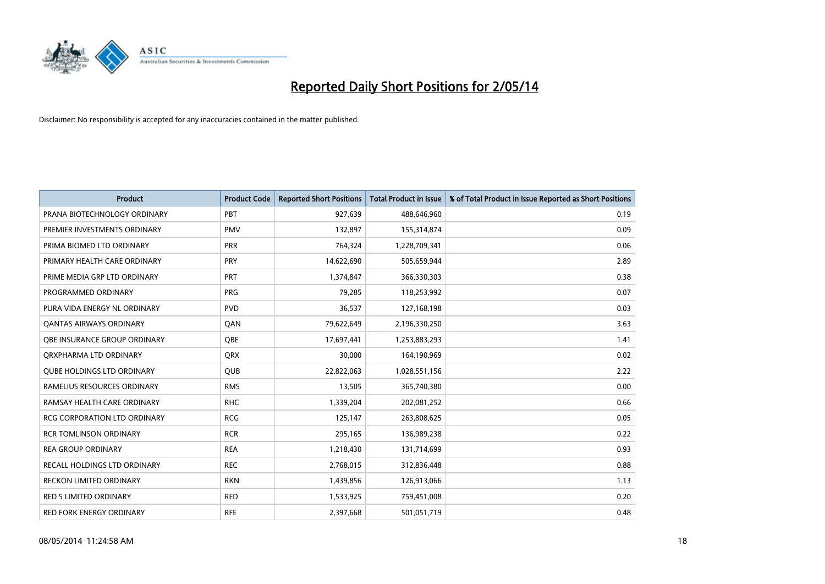

| <b>Product</b>                      | <b>Product Code</b> | <b>Reported Short Positions</b> | <b>Total Product in Issue</b> | % of Total Product in Issue Reported as Short Positions |
|-------------------------------------|---------------------|---------------------------------|-------------------------------|---------------------------------------------------------|
| PRANA BIOTECHNOLOGY ORDINARY        | PBT                 | 927,639                         | 488,646,960                   | 0.19                                                    |
| PREMIER INVESTMENTS ORDINARY        | <b>PMV</b>          | 132,897                         | 155,314,874                   | 0.09                                                    |
| PRIMA BIOMED LTD ORDINARY           | <b>PRR</b>          | 764,324                         | 1,228,709,341                 | 0.06                                                    |
| PRIMARY HEALTH CARE ORDINARY        | <b>PRY</b>          | 14,622,690                      | 505,659,944                   | 2.89                                                    |
| PRIME MEDIA GRP LTD ORDINARY        | <b>PRT</b>          | 1,374,847                       | 366,330,303                   | 0.38                                                    |
| PROGRAMMED ORDINARY                 | <b>PRG</b>          | 79,285                          | 118,253,992                   | 0.07                                                    |
| PURA VIDA ENERGY NL ORDINARY        | <b>PVD</b>          | 36,537                          | 127,168,198                   | 0.03                                                    |
| <b>QANTAS AIRWAYS ORDINARY</b>      | QAN                 | 79,622,649                      | 2,196,330,250                 | 3.63                                                    |
| OBE INSURANCE GROUP ORDINARY        | <b>OBE</b>          | 17,697,441                      | 1,253,883,293                 | 1.41                                                    |
| ORXPHARMA LTD ORDINARY              | <b>QRX</b>          | 30,000                          | 164,190,969                   | 0.02                                                    |
| <b>QUBE HOLDINGS LTD ORDINARY</b>   | <b>QUB</b>          | 22,822,063                      | 1,028,551,156                 | 2.22                                                    |
| RAMELIUS RESOURCES ORDINARY         | <b>RMS</b>          | 13,505                          | 365,740,380                   | 0.00                                                    |
| RAMSAY HEALTH CARE ORDINARY         | <b>RHC</b>          | 1,339,204                       | 202,081,252                   | 0.66                                                    |
| <b>RCG CORPORATION LTD ORDINARY</b> | <b>RCG</b>          | 125,147                         | 263,808,625                   | 0.05                                                    |
| <b>RCR TOMLINSON ORDINARY</b>       | <b>RCR</b>          | 295,165                         | 136,989,238                   | 0.22                                                    |
| <b>REA GROUP ORDINARY</b>           | <b>REA</b>          | 1,218,430                       | 131,714,699                   | 0.93                                                    |
| RECALL HOLDINGS LTD ORDINARY        | <b>REC</b>          | 2,768,015                       | 312,836,448                   | 0.88                                                    |
| RECKON LIMITED ORDINARY             | <b>RKN</b>          | 1,439,856                       | 126,913,066                   | 1.13                                                    |
| <b>RED 5 LIMITED ORDINARY</b>       | <b>RED</b>          | 1,533,925                       | 759,451,008                   | 0.20                                                    |
| RED FORK ENERGY ORDINARY            | <b>RFE</b>          | 2,397,668                       | 501,051,719                   | 0.48                                                    |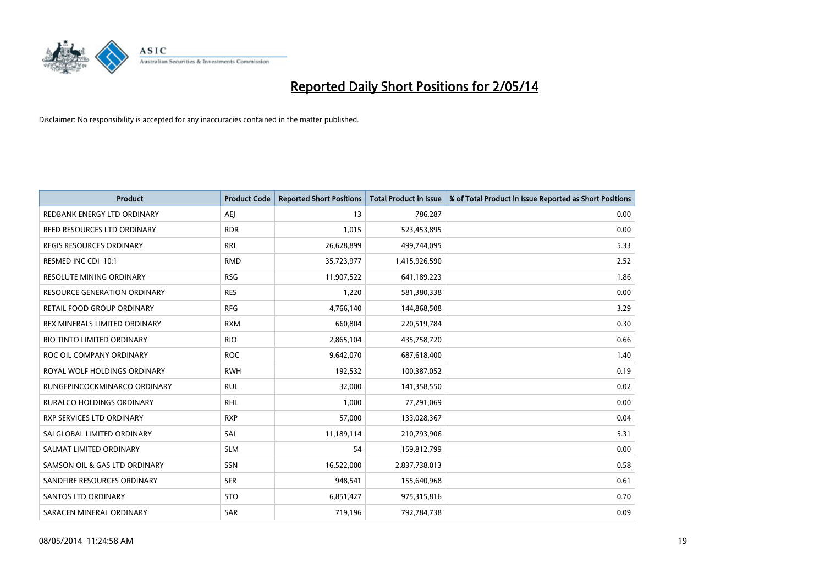

| Product                            | <b>Product Code</b> | <b>Reported Short Positions</b> | <b>Total Product in Issue</b> | % of Total Product in Issue Reported as Short Positions |
|------------------------------------|---------------------|---------------------------------|-------------------------------|---------------------------------------------------------|
| REDBANK ENERGY LTD ORDINARY        | <b>AEJ</b>          | 13                              | 786,287                       | 0.00                                                    |
| <b>REED RESOURCES LTD ORDINARY</b> | <b>RDR</b>          | 1,015                           | 523,453,895                   | 0.00                                                    |
| REGIS RESOURCES ORDINARY           | RRL                 | 26,628,899                      | 499,744,095                   | 5.33                                                    |
| RESMED INC CDI 10:1                | <b>RMD</b>          | 35,723,977                      | 1,415,926,590                 | 2.52                                                    |
| <b>RESOLUTE MINING ORDINARY</b>    | <b>RSG</b>          | 11,907,522                      | 641,189,223                   | 1.86                                                    |
| RESOURCE GENERATION ORDINARY       | <b>RES</b>          | 1,220                           | 581,380,338                   | 0.00                                                    |
| RETAIL FOOD GROUP ORDINARY         | <b>RFG</b>          | 4,766,140                       | 144,868,508                   | 3.29                                                    |
| REX MINERALS LIMITED ORDINARY      | <b>RXM</b>          | 660,804                         | 220,519,784                   | 0.30                                                    |
| RIO TINTO LIMITED ORDINARY         | <b>RIO</b>          | 2,865,104                       | 435,758,720                   | 0.66                                                    |
| ROC OIL COMPANY ORDINARY           | <b>ROC</b>          | 9,642,070                       | 687,618,400                   | 1.40                                                    |
| ROYAL WOLF HOLDINGS ORDINARY       | <b>RWH</b>          | 192,532                         | 100,387,052                   | 0.19                                                    |
| RUNGEPINCOCKMINARCO ORDINARY       | <b>RUL</b>          | 32,000                          | 141,358,550                   | 0.02                                                    |
| <b>RURALCO HOLDINGS ORDINARY</b>   | <b>RHL</b>          | 1,000                           | 77,291,069                    | 0.00                                                    |
| RXP SERVICES LTD ORDINARY          | <b>RXP</b>          | 57,000                          | 133,028,367                   | 0.04                                                    |
| SAI GLOBAL LIMITED ORDINARY        | SAI                 | 11,189,114                      | 210,793,906                   | 5.31                                                    |
| SALMAT LIMITED ORDINARY            | <b>SLM</b>          | 54                              | 159,812,799                   | 0.00                                                    |
| SAMSON OIL & GAS LTD ORDINARY      | SSN                 | 16,522,000                      | 2,837,738,013                 | 0.58                                                    |
| SANDFIRE RESOURCES ORDINARY        | <b>SFR</b>          | 948,541                         | 155,640,968                   | 0.61                                                    |
| SANTOS LTD ORDINARY                | <b>STO</b>          | 6,851,427                       | 975,315,816                   | 0.70                                                    |
| SARACEN MINERAL ORDINARY           | SAR                 | 719,196                         | 792,784,738                   | 0.09                                                    |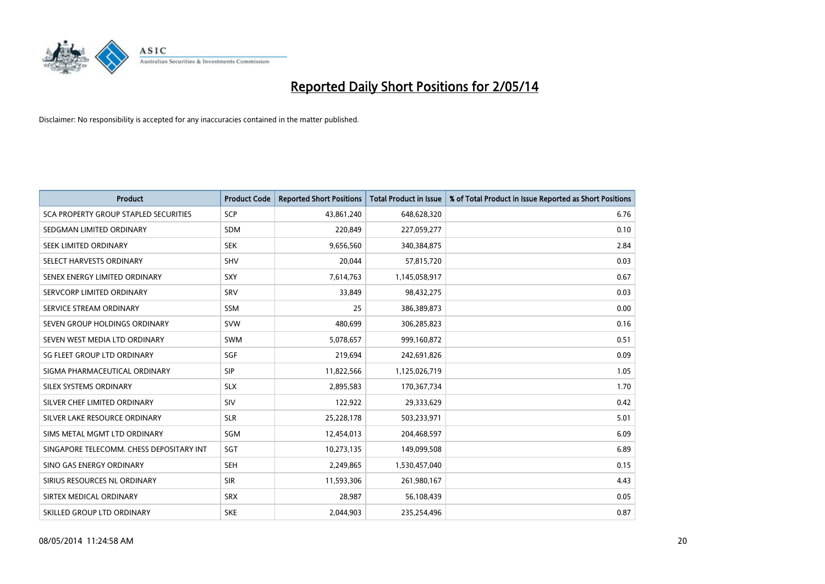

| <b>Product</b>                           | <b>Product Code</b> | <b>Reported Short Positions</b> | <b>Total Product in Issue</b> | % of Total Product in Issue Reported as Short Positions |
|------------------------------------------|---------------------|---------------------------------|-------------------------------|---------------------------------------------------------|
| SCA PROPERTY GROUP STAPLED SECURITIES    | <b>SCP</b>          | 43,861,240                      | 648,628,320                   | 6.76                                                    |
| SEDGMAN LIMITED ORDINARY                 | SDM                 | 220,849                         | 227,059,277                   | 0.10                                                    |
| SEEK LIMITED ORDINARY                    | <b>SEK</b>          | 9,656,560                       | 340,384,875                   | 2.84                                                    |
| SELECT HARVESTS ORDINARY                 | <b>SHV</b>          | 20,044                          | 57,815,720                    | 0.03                                                    |
| SENEX ENERGY LIMITED ORDINARY            | SXY                 | 7,614,763                       | 1,145,058,917                 | 0.67                                                    |
| SERVCORP LIMITED ORDINARY                | SRV                 | 33,849                          | 98,432,275                    | 0.03                                                    |
| SERVICE STREAM ORDINARY                  | SSM                 | 25                              | 386,389,873                   | 0.00                                                    |
| SEVEN GROUP HOLDINGS ORDINARY            | <b>SVW</b>          | 480,699                         | 306,285,823                   | 0.16                                                    |
| SEVEN WEST MEDIA LTD ORDINARY            | <b>SWM</b>          | 5,078,657                       | 999,160,872                   | 0.51                                                    |
| SG FLEET GROUP LTD ORDINARY              | SGF                 | 219,694                         | 242,691,826                   | 0.09                                                    |
| SIGMA PHARMACEUTICAL ORDINARY            | <b>SIP</b>          | 11,822,566                      | 1,125,026,719                 | 1.05                                                    |
| SILEX SYSTEMS ORDINARY                   | <b>SLX</b>          | 2,895,583                       | 170,367,734                   | 1.70                                                    |
| SILVER CHEF LIMITED ORDINARY             | <b>SIV</b>          | 122,922                         | 29,333,629                    | 0.42                                                    |
| SILVER LAKE RESOURCE ORDINARY            | <b>SLR</b>          | 25,228,178                      | 503,233,971                   | 5.01                                                    |
| SIMS METAL MGMT LTD ORDINARY             | SGM                 | 12,454,013                      | 204,468,597                   | 6.09                                                    |
| SINGAPORE TELECOMM. CHESS DEPOSITARY INT | SGT                 | 10,273,135                      | 149,099,508                   | 6.89                                                    |
| SINO GAS ENERGY ORDINARY                 | <b>SEH</b>          | 2,249,865                       | 1,530,457,040                 | 0.15                                                    |
| SIRIUS RESOURCES NL ORDINARY             | <b>SIR</b>          | 11,593,306                      | 261,980,167                   | 4.43                                                    |
| SIRTEX MEDICAL ORDINARY                  | <b>SRX</b>          | 28,987                          | 56,108,439                    | 0.05                                                    |
| SKILLED GROUP LTD ORDINARY               | <b>SKE</b>          | 2,044,903                       | 235,254,496                   | 0.87                                                    |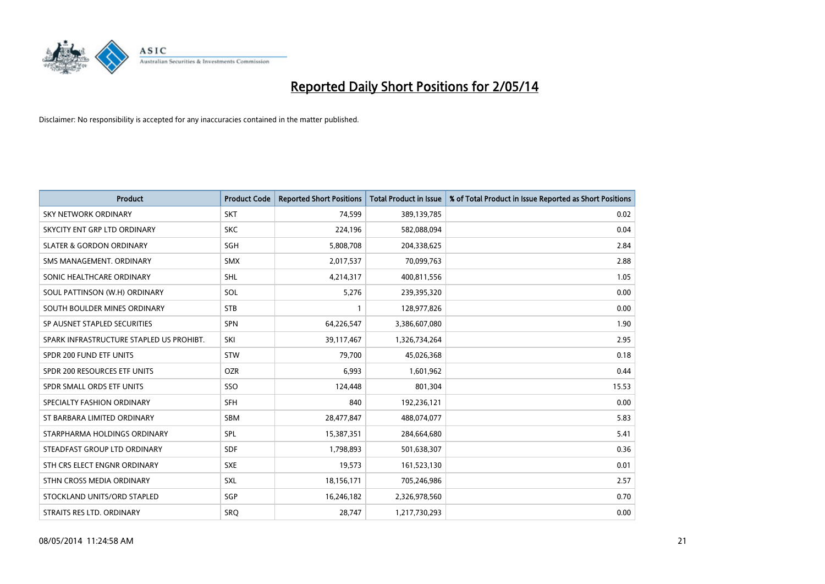

| <b>Product</b>                           | <b>Product Code</b> | <b>Reported Short Positions</b> | <b>Total Product in Issue</b> | % of Total Product in Issue Reported as Short Positions |
|------------------------------------------|---------------------|---------------------------------|-------------------------------|---------------------------------------------------------|
| <b>SKY NETWORK ORDINARY</b>              | <b>SKT</b>          | 74,599                          | 389,139,785                   | 0.02                                                    |
| SKYCITY ENT GRP LTD ORDINARY             | <b>SKC</b>          | 224,196                         | 582,088,094                   | 0.04                                                    |
| <b>SLATER &amp; GORDON ORDINARY</b>      | SGH                 | 5,808,708                       | 204,338,625                   | 2.84                                                    |
| SMS MANAGEMENT, ORDINARY                 | <b>SMX</b>          | 2,017,537                       | 70,099,763                    | 2.88                                                    |
| SONIC HEALTHCARE ORDINARY                | SHL                 | 4,214,317                       | 400,811,556                   | 1.05                                                    |
| SOUL PATTINSON (W.H) ORDINARY            | SOL                 | 5,276                           | 239,395,320                   | 0.00                                                    |
| SOUTH BOULDER MINES ORDINARY             | <b>STB</b>          |                                 | 128,977,826                   | 0.00                                                    |
| SP AUSNET STAPLED SECURITIES             | SPN                 | 64,226,547                      | 3,386,607,080                 | 1.90                                                    |
| SPARK INFRASTRUCTURE STAPLED US PROHIBT. | SKI                 | 39,117,467                      | 1,326,734,264                 | 2.95                                                    |
| SPDR 200 FUND ETF UNITS                  | STW                 | 79,700                          | 45,026,368                    | 0.18                                                    |
| SPDR 200 RESOURCES ETF UNITS             | <b>OZR</b>          | 6,993                           | 1,601,962                     | 0.44                                                    |
| SPDR SMALL ORDS ETF UNITS                | SSO                 | 124,448                         | 801,304                       | 15.53                                                   |
| SPECIALTY FASHION ORDINARY               | SFH                 | 840                             | 192,236,121                   | 0.00                                                    |
| ST BARBARA LIMITED ORDINARY              | SBM                 | 28,477,847                      | 488,074,077                   | 5.83                                                    |
| STARPHARMA HOLDINGS ORDINARY             | <b>SPL</b>          | 15,387,351                      | 284,664,680                   | 5.41                                                    |
| STEADFAST GROUP LTD ORDINARY             | <b>SDF</b>          | 1,798,893                       | 501,638,307                   | 0.36                                                    |
| STH CRS ELECT ENGNR ORDINARY             | <b>SXE</b>          | 19,573                          | 161,523,130                   | 0.01                                                    |
| STHN CROSS MEDIA ORDINARY                | <b>SXL</b>          | 18,156,171                      | 705,246,986                   | 2.57                                                    |
| STOCKLAND UNITS/ORD STAPLED              | SGP                 | 16,246,182                      | 2,326,978,560                 | 0.70                                                    |
| STRAITS RES LTD. ORDINARY                | SRO                 | 28,747                          | 1,217,730,293                 | 0.00                                                    |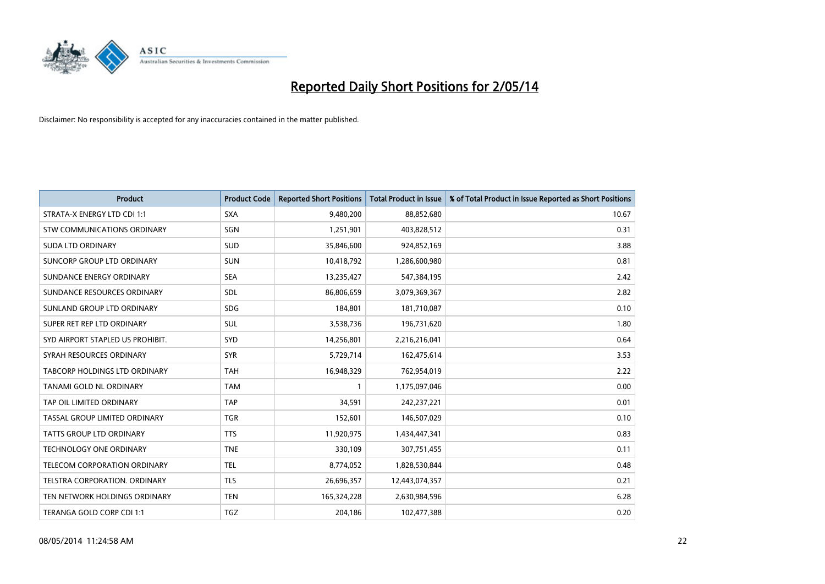

| <b>Product</b>                   | <b>Product Code</b> | <b>Reported Short Positions</b> | <b>Total Product in Issue</b> | % of Total Product in Issue Reported as Short Positions |
|----------------------------------|---------------------|---------------------------------|-------------------------------|---------------------------------------------------------|
| STRATA-X ENERGY LTD CDI 1:1      | <b>SXA</b>          | 9,480,200                       | 88,852,680                    | 10.67                                                   |
| STW COMMUNICATIONS ORDINARY      | SGN                 | 1,251,901                       | 403,828,512                   | 0.31                                                    |
| <b>SUDA LTD ORDINARY</b>         | SUD                 | 35,846,600                      | 924,852,169                   | 3.88                                                    |
| SUNCORP GROUP LTD ORDINARY       | <b>SUN</b>          | 10,418,792                      | 1,286,600,980                 | 0.81                                                    |
| SUNDANCE ENERGY ORDINARY         | <b>SEA</b>          | 13,235,427                      | 547,384,195                   | 2.42                                                    |
| SUNDANCE RESOURCES ORDINARY      | SDL                 | 86,806,659                      | 3,079,369,367                 | 2.82                                                    |
| SUNLAND GROUP LTD ORDINARY       | <b>SDG</b>          | 184,801                         | 181,710,087                   | 0.10                                                    |
| SUPER RET REP LTD ORDINARY       | SUL                 | 3,538,736                       | 196,731,620                   | 1.80                                                    |
| SYD AIRPORT STAPLED US PROHIBIT. | SYD                 | 14,256,801                      | 2,216,216,041                 | 0.64                                                    |
| SYRAH RESOURCES ORDINARY         | <b>SYR</b>          | 5,729,714                       | 162,475,614                   | 3.53                                                    |
| TABCORP HOLDINGS LTD ORDINARY    | <b>TAH</b>          | 16,948,329                      | 762,954,019                   | 2.22                                                    |
| TANAMI GOLD NL ORDINARY          | <b>TAM</b>          | $\mathbf{1}$                    | 1,175,097,046                 | 0.00                                                    |
| TAP OIL LIMITED ORDINARY         | <b>TAP</b>          | 34,591                          | 242,237,221                   | 0.01                                                    |
| TASSAL GROUP LIMITED ORDINARY    | <b>TGR</b>          | 152,601                         | 146,507,029                   | 0.10                                                    |
| <b>TATTS GROUP LTD ORDINARY</b>  | <b>TTS</b>          | 11,920,975                      | 1,434,447,341                 | 0.83                                                    |
| TECHNOLOGY ONE ORDINARY          | <b>TNE</b>          | 330,109                         | 307,751,455                   | 0.11                                                    |
| TELECOM CORPORATION ORDINARY     | <b>TEL</b>          | 8,774,052                       | 1,828,530,844                 | 0.48                                                    |
| TELSTRA CORPORATION. ORDINARY    | <b>TLS</b>          | 26,696,357                      | 12,443,074,357                | 0.21                                                    |
| TEN NETWORK HOLDINGS ORDINARY    | <b>TEN</b>          | 165,324,228                     | 2,630,984,596                 | 6.28                                                    |
| TERANGA GOLD CORP CDI 1:1        | <b>TGZ</b>          | 204,186                         | 102,477,388                   | 0.20                                                    |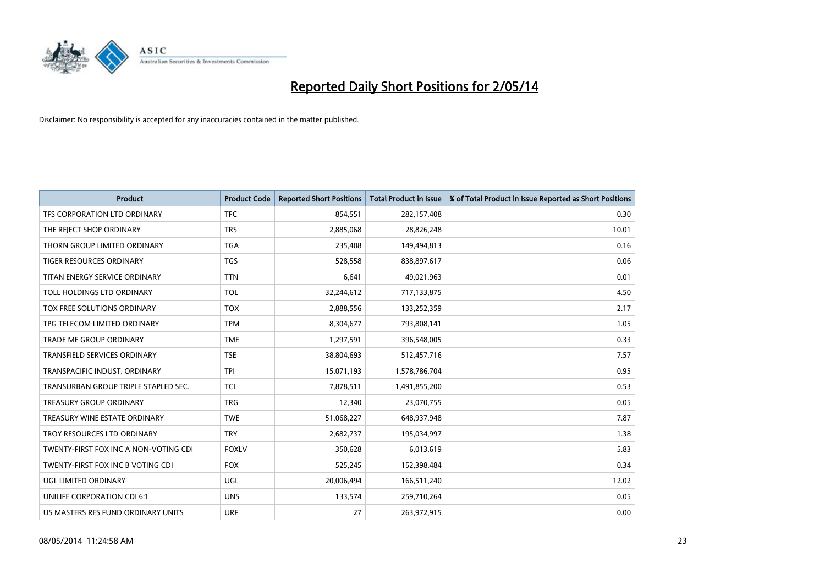

| <b>Product</b>                        | <b>Product Code</b> | <b>Reported Short Positions</b> | <b>Total Product in Issue</b> | % of Total Product in Issue Reported as Short Positions |
|---------------------------------------|---------------------|---------------------------------|-------------------------------|---------------------------------------------------------|
| TFS CORPORATION LTD ORDINARY          | <b>TFC</b>          | 854,551                         | 282,157,408                   | 0.30                                                    |
| THE REJECT SHOP ORDINARY              | <b>TRS</b>          | 2,885,068                       | 28,826,248                    | 10.01                                                   |
| THORN GROUP LIMITED ORDINARY          | <b>TGA</b>          | 235,408                         | 149,494,813                   | 0.16                                                    |
| <b>TIGER RESOURCES ORDINARY</b>       | <b>TGS</b>          | 528,558                         | 838,897,617                   | 0.06                                                    |
| TITAN ENERGY SERVICE ORDINARY         | <b>TTN</b>          | 6,641                           | 49,021,963                    | 0.01                                                    |
| TOLL HOLDINGS LTD ORDINARY            | <b>TOL</b>          | 32,244,612                      | 717,133,875                   | 4.50                                                    |
| TOX FREE SOLUTIONS ORDINARY           | <b>TOX</b>          | 2,888,556                       | 133,252,359                   | 2.17                                                    |
| TPG TELECOM LIMITED ORDINARY          | <b>TPM</b>          | 8,304,677                       | 793,808,141                   | 1.05                                                    |
| <b>TRADE ME GROUP ORDINARY</b>        | <b>TME</b>          | 1,297,591                       | 396,548,005                   | 0.33                                                    |
| <b>TRANSFIELD SERVICES ORDINARY</b>   | <b>TSE</b>          | 38,804,693                      | 512,457,716                   | 7.57                                                    |
| TRANSPACIFIC INDUST. ORDINARY         | <b>TPI</b>          | 15,071,193                      | 1,578,786,704                 | 0.95                                                    |
| TRANSURBAN GROUP TRIPLE STAPLED SEC.  | <b>TCL</b>          | 7,878,511                       | 1,491,855,200                 | 0.53                                                    |
| <b>TREASURY GROUP ORDINARY</b>        | <b>TRG</b>          | 12,340                          | 23,070,755                    | 0.05                                                    |
| TREASURY WINE ESTATE ORDINARY         | <b>TWE</b>          | 51,068,227                      | 648,937,948                   | 7.87                                                    |
| TROY RESOURCES LTD ORDINARY           | <b>TRY</b>          | 2,682,737                       | 195,034,997                   | 1.38                                                    |
| TWENTY-FIRST FOX INC A NON-VOTING CDI | <b>FOXLV</b>        | 350,628                         | 6,013,619                     | 5.83                                                    |
| TWENTY-FIRST FOX INC B VOTING CDI     | <b>FOX</b>          | 525,245                         | 152,398,484                   | 0.34                                                    |
| UGL LIMITED ORDINARY                  | UGL                 | 20,006,494                      | 166,511,240                   | 12.02                                                   |
| UNILIFE CORPORATION CDI 6:1           | <b>UNS</b>          | 133,574                         | 259,710,264                   | 0.05                                                    |
| US MASTERS RES FUND ORDINARY UNITS    | <b>URF</b>          | 27                              | 263,972,915                   | 0.00                                                    |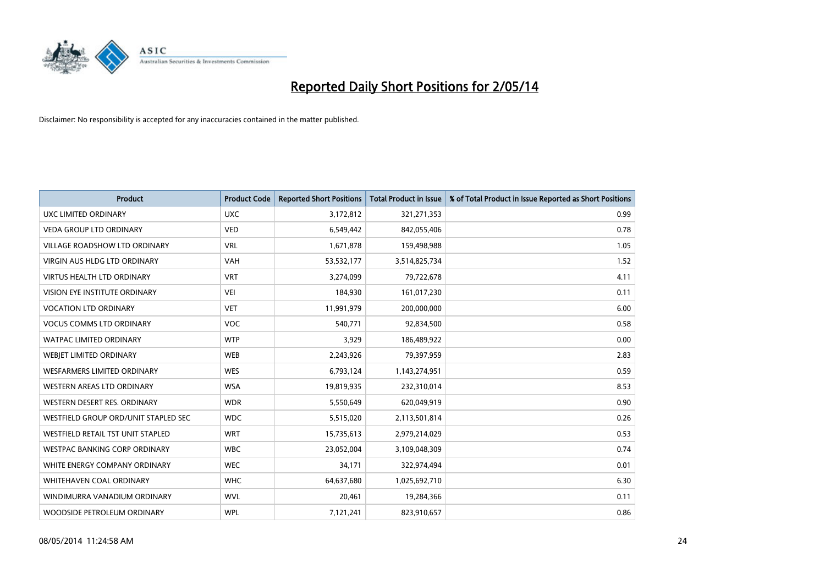

| <b>Product</b>                       | <b>Product Code</b> | <b>Reported Short Positions</b> | <b>Total Product in Issue</b> | % of Total Product in Issue Reported as Short Positions |
|--------------------------------------|---------------------|---------------------------------|-------------------------------|---------------------------------------------------------|
| UXC LIMITED ORDINARY                 | <b>UXC</b>          | 3,172,812                       | 321,271,353                   | 0.99                                                    |
| <b>VEDA GROUP LTD ORDINARY</b>       | <b>VED</b>          | 6,549,442                       | 842,055,406                   | 0.78                                                    |
| <b>VILLAGE ROADSHOW LTD ORDINARY</b> | <b>VRL</b>          | 1,671,878                       | 159,498,988                   | 1.05                                                    |
| <b>VIRGIN AUS HLDG LTD ORDINARY</b>  | <b>VAH</b>          | 53,532,177                      | 3,514,825,734                 | 1.52                                                    |
| <b>VIRTUS HEALTH LTD ORDINARY</b>    | <b>VRT</b>          | 3,274,099                       | 79,722,678                    | 4.11                                                    |
| VISION EYE INSTITUTE ORDINARY        | <b>VEI</b>          | 184,930                         | 161,017,230                   | 0.11                                                    |
| <b>VOCATION LTD ORDINARY</b>         | <b>VET</b>          | 11,991,979                      | 200,000,000                   | 6.00                                                    |
| <b>VOCUS COMMS LTD ORDINARY</b>      | VOC                 | 540,771                         | 92,834,500                    | 0.58                                                    |
| <b>WATPAC LIMITED ORDINARY</b>       | <b>WTP</b>          | 3,929                           | 186,489,922                   | 0.00                                                    |
| <b>WEBJET LIMITED ORDINARY</b>       | <b>WEB</b>          | 2,243,926                       | 79,397,959                    | 2.83                                                    |
| WESFARMERS LIMITED ORDINARY          | <b>WES</b>          | 6,793,124                       | 1,143,274,951                 | 0.59                                                    |
| <b>WESTERN AREAS LTD ORDINARY</b>    | <b>WSA</b>          | 19,819,935                      | 232,310,014                   | 8.53                                                    |
| WESTERN DESERT RES. ORDINARY         | <b>WDR</b>          | 5,550,649                       | 620,049,919                   | 0.90                                                    |
| WESTFIELD GROUP ORD/UNIT STAPLED SEC | <b>WDC</b>          | 5,515,020                       | 2,113,501,814                 | 0.26                                                    |
| WESTFIELD RETAIL TST UNIT STAPLED    | <b>WRT</b>          | 15,735,613                      | 2,979,214,029                 | 0.53                                                    |
| <b>WESTPAC BANKING CORP ORDINARY</b> | <b>WBC</b>          | 23,052,004                      | 3,109,048,309                 | 0.74                                                    |
| WHITE ENERGY COMPANY ORDINARY        | <b>WEC</b>          | 34,171                          | 322,974,494                   | 0.01                                                    |
| <b>WHITEHAVEN COAL ORDINARY</b>      | <b>WHC</b>          | 64,637,680                      | 1,025,692,710                 | 6.30                                                    |
| WINDIMURRA VANADIUM ORDINARY         | <b>WVL</b>          | 20,461                          | 19,284,366                    | 0.11                                                    |
| WOODSIDE PETROLEUM ORDINARY          | <b>WPL</b>          | 7,121,241                       | 823,910,657                   | 0.86                                                    |